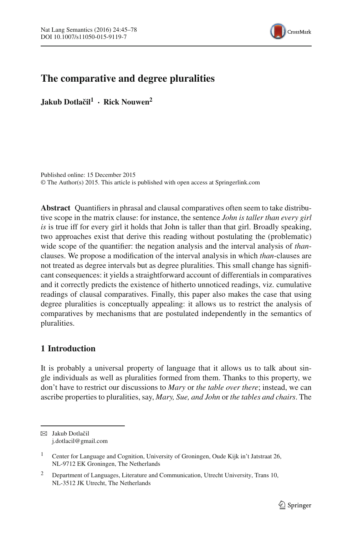

# **The comparative and degree pluralities**

**Jakub Dotlaˇcil<sup>1</sup> · Rick Nouwen2**

Published online: 15 December 2015 © The Author(s) 2015. This article is published with open access at Springerlink.com

**Abstract** Quantifiers in phrasal and clausal comparatives often seem to take distributive scope in the matrix clause: for instance, the sentence *John is taller than every girl is* is true iff for every girl it holds that John is taller than that girl. Broadly speaking, two approaches exist that derive this reading without postulating the (problematic) wide scope of the quantifier: the negation analysis and the interval analysis of *than*clauses. We propose a modification of the interval analysis in which *than*-clauses are not treated as degree intervals but as degree pluralities. This small change has significant consequences: it yields a straightforward account of differentials in comparatives and it correctly predicts the existence of hitherto unnoticed readings, viz. cumulative readings of clausal comparatives. Finally, this paper also makes the case that using degree pluralities is conceptually appealing: it allows us to restrict the analysis of comparatives by mechanisms that are postulated independently in the semantics of pluralities.

# **1 Introduction**

It is probably a universal property of language that it allows us to talk about single individuals as well as pluralities formed from them. Thanks to this property, we don't have to restrict our discussions to *Mary* or *the table over there*; instead, we can ascribe properties to pluralities, say, *Mary, Sue, and John* or *the tables and chairs*. The

 $\boxtimes$  Jakub Dotlačil j.dotlacil@gmail.com

<sup>1</sup> Center for Language and Cognition, University of Groningen, Oude Kijk in't Jatstraat 26, NL-9712 EK Groningen, The Netherlands

<sup>2</sup> Department of Languages, Literature and Communication, Utrecht University, Trans 10, NL-3512 JK Utrecht, The Netherlands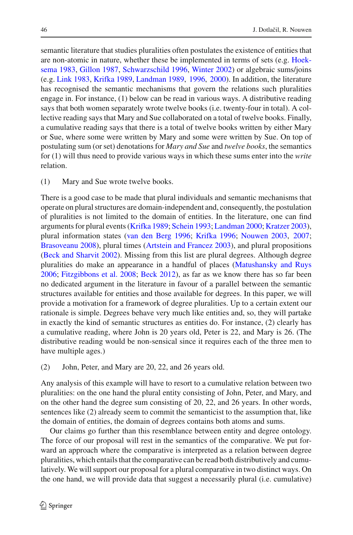semantic literature that studies pluralities often postulates the existence of entities that are n[on-atomic](#page-32-0) [in](#page-32-0) [nature,](#page-32-0) [whether](#page-32-0) [these](#page-32-0) [be](#page-32-0) [implemented](#page-32-0) [in](#page-32-0) [terms](#page-32-0) [of](#page-32-0) [sets](#page-32-0) [\(e.g.](#page-32-0) Hoeksema [1983,](#page-32-0) [Gillon 1987](#page-32-1), [Schwarzschild 1996,](#page-33-0) [Winter 2002\)](#page-33-1) or algebraic sums/joins (e.g. [Link 1983,](#page-32-2) [Krifka 1989,](#page-32-3) [Landman 1989](#page-32-4), [1996](#page-32-5), [2000](#page-32-6)). In addition, the literature has recognised the semantic mechanisms that govern the relations such pluralities engage in. For instance, (1) below can be read in various ways. A distributive reading says that both women separately wrote twelve books (i.e. twenty-four in total). A collective reading says that Mary and Sue collaborated on a total of twelve books. Finally, a cumulative reading says that there is a total of twelve books written by either Mary or Sue, where some were written by Mary and some were written by Sue. On top of postulating sum (or set) denotations for *Mary and Sue* and *twelve books*, the semantics for (1) will thus need to provide various ways in which these sums enter into the *write* relation.

(1) Mary and Sue wrote twelve books.

There is a good case to be made that plural individuals and semantic mechanisms that operate on plural structures are domain-independent and, consequently, the postulation of pluralities is not limited to the domain of entities. In the literature, one can find arguments for plural events [\(Krifka 1989;](#page-32-3) [Schein 1993;](#page-33-2) [Landman 2000](#page-32-6); [Kratzer 2003](#page-32-7)), plural information states [\(van den Berg 1996](#page-33-3); [Krifka 1996;](#page-32-8) [Nouwen 2003,](#page-32-9) [2007](#page-32-10); [Brasoveanu 2008\)](#page-31-0), plural times [\(Artstein and Francez 2003\)](#page-31-1), and plural propositions [\(Beck and Sharvit 2002](#page-31-2)). Missing from this list are plural degrees. Although degree pluralities do make an appearance in a handful of places [\(Matushansky and Ruys](#page-32-11) [2006;](#page-32-11) [Fitzgibbons et al. 2008;](#page-32-12) [Beck 2012\)](#page-31-3), as far as we know there has so far been no dedicated argument in the literature in favour of a parallel between the semantic structures available for entities and those available for degrees. In this paper, we will provide a motivation for a framework of degree pluralities. Up to a certain extent our rationale is simple. Degrees behave very much like entities and, so, they will partake in exactly the kind of semantic structures as entities do. For instance, (2) clearly has a cumulative reading, where John is 20 years old, Peter is 22, and Mary is 26. (The distributive reading would be non-sensical since it requires each of the three men to have multiple ages.)

(2) John, Peter, and Mary are 20, 22, and 26 years old.

Any analysis of this example will have to resort to a cumulative relation between two pluralities: on the one hand the plural entity consisting of John, Peter, and Mary, and on the other hand the degree sum consisting of 20, 22, and 26 years. In other words, sentences like (2) already seem to commit the semanticist to the assumption that, like the domain of entities, the domain of degrees contains both atoms and sums.

Our claims go further than this resemblance between entity and degree ontology. The force of our proposal will rest in the semantics of the comparative. We put forward an approach where the comparative is interpreted as a relation between degree pluralities, which entails that the comparative can be read both distributively and cumulatively. We will support our proposal for a plural comparative in two distinct ways. On the one hand, we will provide data that suggest a necessarily plural (i.e. cumulative)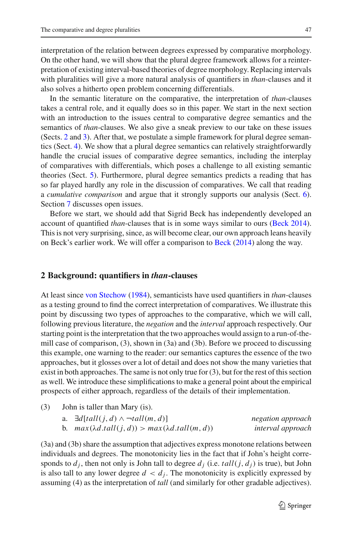interpretation of the relation between degrees expressed by comparative morphology. On the other hand, we will show that the plural degree framework allows for a reinterpretation of existing interval-based theories of degree morphology. Replacing intervals with pluralities will give a more natural analysis of quantifiers in *than*-clauses and it also solves a hitherto open problem concerning differentials.

In the semantic literature on the comparative, the interpretation of *than*-clauses takes a central role, and it equally does so in this paper. We start in the next section with an introduction to the issues central to comparative degree semantics and the semantics of *than*-clauses. We also give a sneak preview to our take on these issues (Sects. [2](#page-2-0) and [3\)](#page-5-0). After that, we postulate a simple framework for plural degree semantics (Sect. [4\)](#page-7-0). We show that a plural degree semantics can relatively straightforwardly handle the crucial issues of comparative degree semantics, including the interplay of comparatives with differentials, which poses a challenge to all existing semantic theories (Sect. [5\)](#page-14-0). Furthermore, plural degree semantics predicts a reading that has so far played hardly any role in the discussion of comparatives. We call that reading a *cumulative comparison* and argue that it strongly supports our analysis (Sect. [6\)](#page-17-0). Section [7](#page-24-0) discusses open issues.

Before we start, we should add that Sigrid Beck has independently developed an account of quantified *than*-clauses that is in some ways similar to ours [\(Beck 2014](#page-31-4)). This is not very surprising, since, as will become clear, our own approach leans heavily on Beck's earlier work. We will offer a comparison to [Beck](#page-31-4) [\(2014\)](#page-31-4) along the way.

#### <span id="page-2-0"></span>**2 Background: quantifiers in** *than***-clauses**

At least since [von Stechow](#page-33-4) [\(1984](#page-33-4)), semanticists have used quantifiers in *than*-clauses as a testing ground to find the correct interpretation of comparatives. We illustrate this point by discussing two types of approaches to the comparative, which we will call, following previous literature, the *negation* and the *interval* approach respectively. Our starting point is the interpretation that the two approaches would assign to a run-of-themill case of comparison, (3), shown in (3a) and (3b). Before we proceed to discussing this example, one warning to the reader: our semantics captures the essence of the two approaches, but it glosses over a lot of detail and does not show the many varieties that exist in both approaches. The same is not only true for  $(3)$ , but for the rest of this section as well. We introduce these simplifications to make a general point about the empirical prospects of either approach, regardless of the details of their implementation.

(3) John is taller than Mary (is).

| a. $\exists d[tall(j,d) \wedge \neg tall(m,d)]$            | negation approach        |
|------------------------------------------------------------|--------------------------|
| b. $max(\lambda d.tall(j, d)) > max(\lambda d.tall(m, d))$ | <i>interval approach</i> |

(3a) and (3b) share the assumption that adjectives express monotone relations between individuals and degrees. The monotonicity lies in the fact that if John's height corresponds to  $d_i$ , then not only is John tall to degree  $d_i$  (i.e. *tall*( $j$ ,  $d_j$ ) is true), but John is also tall to any lower degree  $d < d<sub>i</sub>$ . The monotonicity is explicitly expressed by assuming (4) as the interpretation of *tall* (and similarly for other gradable adjectives).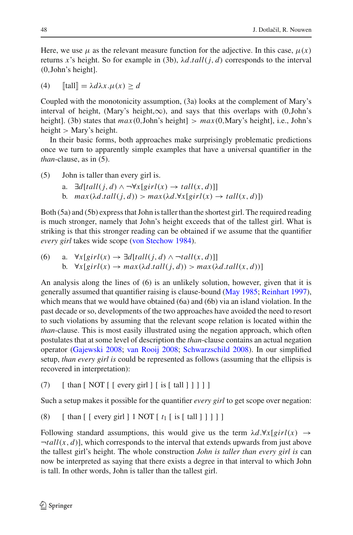Here, we use  $\mu$  as the relevant measure function for the adjective. In this case,  $\mu(x)$ returns *x*'s height. So for example in (3b), λ*d*.*tall*(*j*, *d*) corresponds to the interval (0,John's height].

 $(4)$  $[\text{tall}] = \lambda d\lambda x. \mu(x) > d$ 

Coupled with the monotonicity assumption, (3a) looks at the complement of Mary's interval of height, (Mary's height, $\infty$ ), and says that this overlaps with (0,John's height]. (3b) states that *max*(0,John's height] > *max*(0,Mary's height], i.e., John's height  $>$  Mary's height.

In their basic forms, both approaches make surprisingly problematic predictions once we turn to apparently simple examples that have a universal quantifier in the *than*-clause, as in (5).

(5) John is taller than every girl is.

- a. ∃*d*[*tall*(*j*, *d*) ∧ ¬∀*x*[*girl*(*x*) → *tall*(*x*, *d*)]]
- b.  $max(\lambda d.tall(j, d)) > max(\lambda d.\forall x [girl(x) \rightarrow tall(x, d)])$

Both (5a) and (5b) express that John is taller than the shortest girl. The required reading is much stronger, namely that John's height exceeds that of the tallest girl. What is striking is that this stronger reading can be obtained if we assume that the quantifier *every girl* takes wide scope [\(von Stechow 1984](#page-33-4)).

(6) a. 
$$
\forall x [girl(x) \rightarrow \exists d[tall(j, d) \land \neg tall(x, d)]]
$$

\nb.  $\forall x [girl(x) \rightarrow max(\lambda dtall(j, d)) > max(\lambda dtall(x, d))]$ 

An analysis along the lines of (6) is an unlikely solution, however, given that it is generally assumed that quantifier raising is clause-bound [\(May 1985;](#page-32-13) [Reinhart 1997](#page-33-5)), which means that we would have obtained (6a) and (6b) via an island violation. In the past decade or so, developments of the two approaches have avoided the need to resort to such violations by assuming that the relevant scope relation is located within the *than*-clause. This is most easily illustrated using the negation approach, which often postulates that at some level of description the *than*-clause contains an actual negation operator [\(Gajewski 2008;](#page-32-14) [van Rooij 2008;](#page-33-6) [Schwarzschild 2008\)](#page-33-7). In our simplified setup, *than every girl is* could be represented as follows (assuming that the ellipsis is recovered in interpretation):

(7)  $[$  than  $[$  NOT $[$   $[$  every girl  $]$  $[$  is  $[$  tall  $]$   $]$   $]$   $]$ 

<span id="page-3-0"></span>Such a setup makes it possible for the quantifier *every girl* to get scope over negation:

(8) [ than [ [ every girl ] 1 NOT [ *t*<sup>1</sup> [ is [ tall ] ] ] ] ]

Following standard assumptions, this would give us the term  $\lambda d.\forall x [girl(x) \rightarrow$  $\neg$ *tall*(*x*, *d*)], which corresponds to the interval that extends upwards from just above the tallest girl's height. The whole construction *John is taller than every girl is* can now be interpreted as saying that there exists a degree in that interval to which John is tall. In other words, John is taller than the tallest girl.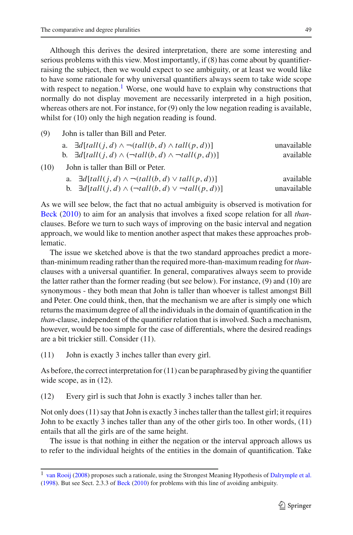Although this derives the desired interpretation, there are some interesting and serious problems with this view. Most importantly, if (8) has come about by quantifierraising the subject, then we would expect to see ambiguity, or at least we would like to have some rationale for why universal quantifiers always seem to take wide scope with respect to negation.<sup>[1](#page-4-0)</sup> Worse, one would have to explain why constructions that normally do not display movement are necessarily interpreted in a high position, whereas others are not. For instance, for (9) only the low negation reading is available, whilst for  $(10)$  only the high negation reading is found.

(9) John is taller than Bill and Peter.

| a. $\exists d[tall(j,d) \wedge \neg(tall(b,d) \wedge tall(p,d))]$       | unavailable |
|-------------------------------------------------------------------------|-------------|
| b. $\exists d[tall(j,d) \wedge (\neg tall(b,d) \wedge \neg tall(p,d))]$ | available   |

#### (10) John is taller than Bill or Peter.

a.  $\exists d[tall(j, d) \land \neg(tall(b, d) \lor tall(p, d))]$  available<br>b.  $\exists d[tall(i, d) \land (\neg tall(b, d) \lor \neg tall(p, d))]$  unavailable  $\exists d[fall(j, d) \land (\neg tall(b, d) \lor \neg tall(p, d))]$ 

As we will see below, the fact that no actual ambiguity is observed is motivation for [Beck](#page-31-5) [\(2010\)](#page-31-5) to aim for an analysis that involves a fixed scope relation for all *than*clauses. Before we turn to such ways of improving on the basic interval and negation approach, we would like to mention another aspect that makes these approaches problematic.

The issue we sketched above is that the two standard approaches predict a morethan-minimum reading rather than the required more-than-maximum reading for *than*clauses with a universal quantifier. In general, comparatives always seem to provide the latter rather than the former reading (but see below). For instance, (9) and (10) are synonymous - they both mean that John is taller than whoever is tallest amongst Bill and Peter. One could think, then, that the mechanism we are after is simply one which returns the maximum degree of all the individuals in the domain of quantification in the *than*-clause, independent of the quantifier relation that is involved. Such a mechanism, however, would be too simple for the case of differentials, where the desired readings are a bit trickier still. Consider (11).

(11) John is exactly 3 inches taller than every girl.

As before, the correct interpretation for (11) can be paraphrased by giving the quantifier wide scope, as in (12).

(12) Every girl is such that John is exactly 3 inches taller than her.

Not only does (11) say that John is exactly 3 inches taller than the tallest girl; it requires John to be exactly 3 inches taller than any of the other girls too. In other words, (11) entails that all the girls are of the same height.

The issue is that nothing in either the negation or the interval approach allows us to refer to the individual heights of the entities in the domain of quantification. Take

<span id="page-4-0"></span> $1$  [van Rooij](#page-33-6) [\(2008](#page-33-6)) proposes such a rationale, using the Strongest Meaning Hypothesis of [Dalrymple et al.](#page-31-6) [\(1998](#page-31-6)). But see Sect. 2.3.3 of [Beck](#page-31-5) [\(2010\)](#page-31-5) for problems with this line of avoiding ambiguity.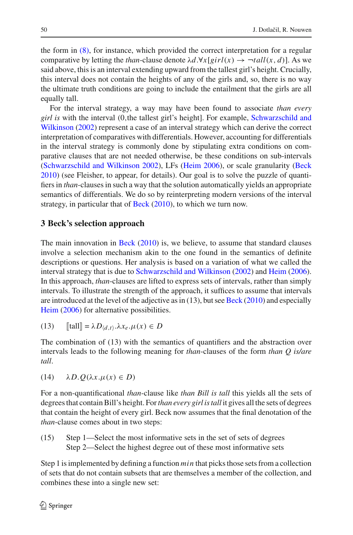the form in [\(8\),](#page-3-0) for instance, which provided the correct interpretation for a regular comparative by letting the *than*-clause denote  $\lambda d \cdot \forall x [girl(x) \rightarrow \neg tall(x, d)]$ . As we said above, this is an interval extending upward from the tallest girl's height. Crucially, this interval does not contain the heights of any of the girls and, so, there is no way the ultimate truth conditions are going to include the entailment that the girls are all equally tall.

For the interval strategy, a way may have been found to associate *than every girl is* with the interval (0,[the](#page-33-8) [tallest](#page-33-8) [girl's](#page-33-8) [height](#page-33-8)]. For example, Schwarzschild and Wilkinson [\(2002](#page-33-8)) represent a case of an interval strategy which can derive the correct interpretation of comparatives with differentials. However, accounting for differentials in the interval strategy is commonly done by stipulating extra conditions on comparative clauses that are not needed otherwise, be these conditions on sub-intervals [\(Schwarzschild and Wilkinson 2002](#page-33-8)), LFs [\(Heim 2006\)](#page-32-15), or scale granularity [\(Beck](#page-31-5) [2010\)](#page-31-5) (see Fleisher, to appear, for details). Our goal is to solve the puzzle of quantifiers in *than*-clauses in such a way that the solution automatically yields an appropriate semantics of differentials. We do so by reinterpreting modern versions of the interval strategy, in particular that of [Beck](#page-31-5) [\(2010\)](#page-31-5), to which we turn now.

#### <span id="page-5-0"></span>**3 Beck's selection approach**

The main innovation in [Beck](#page-31-5) [\(2010\)](#page-31-5) is, we believe, to assume that standard clauses involve a selection mechanism akin to the one found in the semantics of definite descriptions or questions. Her analysis is based on a variation of what we called the interval strategy that is due to [Schwarzschild and Wilkinson](#page-33-8) [\(2002\)](#page-33-8) and [Heim](#page-32-15) [\(2006](#page-32-15)). In this approach, *than*-clauses are lifted to express sets of intervals, rather than simply intervals. To illustrate the strength of the approach, it suffices to assume that intervals are introduced at the level of the adjective as in  $(13)$ , but see [Beck](#page-31-5)  $(2010)$  $(2010)$  and especially [Heim](#page-32-15) [\(2006\)](#page-32-15) for alternative possibilities.

<span id="page-5-1"></span>
$$
(13) \quad \text{[[tall]]} = \lambda D_{\langle d,t \rangle}.\lambda x_e. \mu(x) \in D
$$

The combination of (13) with the semantics of quantifiers and the abstraction over intervals leads to the following meaning for *than*-clauses of the form *than Q is/are tall*.

$$
(14) \quad \lambda D. Q(\lambda x. \mu(x) \in D)
$$

For a non-quantificational *than*-clause like *than Bill is tall* this yields all the sets of degrees that contain Bill's height. For*than every girl is tall* it gives all the sets of degrees that contain the height of every girl. Beck now assumes that the final denotation of the *than*-clause comes about in two steps:

(15) Step 1—Select the most informative sets in the set of sets of degrees Step 2—Select the highest degree out of these most informative sets

<span id="page-5-2"></span>Step 1 is implemented by defining a function *min* that picks those sets from a collection of sets that do not contain subsets that are themselves a member of the collection, and combines these into a single new set: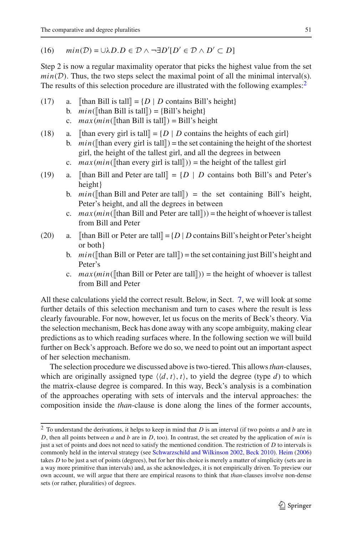(16) *min*(*D*) = ∪λ*D*.*D* ∈ *D* ∧ ¬∃*D* [*D* ∈ *D* ∧ *D* ⊂ *D*]

Step 2 is now a regular maximality operator that picks the highest value from the set  $min(D)$ . Thus, the two steps select the maximal point of all the minimal interval(s). The results of this selection procedure are illustrated with the following examples:<sup>[2](#page-6-0)</sup>

- $(17)$  a.  $[$ than Bill is tall $] = \{D \mid D \text{ contains } B$ ill's height $\}$ b.  $min([\text{than Bill is tall}]) = {\text{Bill's height}}$ c.  $max(min([\text{than Bill is tall}]) = \text{Bill's height})$
- (18) a. [than every girl is tall] =  $\{D \mid D \text{ contains the heights of each girl}\}$ 
	- b.  $min([t_{\text{than}}]$  every girl is tall  $]) =$  the set containing the height of the shortest girl, the height of the tallest girl, and all the degrees in between
	- c.  $max(min([\text{than every girl is tall}])) = \text{the height of the taller girl})$
- (19) a. [than Bill and Peter are tall] =  $\{D \mid D \text{ contains both Bill's and Peter's}$ height }
	- b.  $min([\text{than Bill and Peter are tall}]) = \text{the set containing Bill's height},$ Peter's height, and all the degrees in between
	- c.  $max(min([\text{than Bill and Peter are tall}])) = \text{the height of whose vertices.}$ from Bill and Peter
- (20) a. [than Bill or Peter are tall] =  $\{D \mid D \text{ contains Bill's height or Peter's height}\}$ or both}
	- b.  $min([t_{\text{than}} \text{ Bill} \text{ or Peter} \text{ are tall}]) = \text{the set containing just Bill's height and}$ Peter's
	- c.  $max(min([\text{than Bill or Peter are tall}])) = \text{the height of whose vertex is the number of the vertex.}$ from Bill and Peter

All these calculations yield the correct result. Below, in Sect. [7,](#page-24-0) we will look at some further details of this selection mechanism and turn to cases where the result is less clearly favourable. For now, however, let us focus on the merits of Beck's theory. Via the selection mechanism, Beck has done away with any scope ambiguity, making clear predictions as to which reading surfaces where. In the following section we will build further on Beck's approach. Before we do so, we need to point out an important aspect of her selection mechanism.

The selection procedure we discussed above is two-tiered. This allows*than*-clauses, which are originally assigned type  $\langle \langle d, t \rangle, t \rangle$ , to yield the degree (type *d*) to which the matrix-clause degree is compared. In this way, Beck's analysis is a combination of the approaches operating with sets of intervals and the interval approaches: the composition inside the *than*-clause is done along the lines of the former accounts,

<span id="page-6-0"></span><sup>2</sup> To understand the derivations, it helps to keep in mind that *D* is an interval (if two points *a* and *b* are in *D*, then all points between *a* and *b* are in *D*, too). In contrast, the set created by the application of *min* is just a set of points and does not need to satisfy the mentioned condition. The restriction of *D* to intervals is commonly held in the interval strategy (see [Schwarzschild and Wilkinson 2002](#page-33-8), [Beck 2010\)](#page-31-5). [Heim](#page-32-15) [\(2006](#page-32-15)) takes *D* to be just a set of points (degrees), but for her this choice is merely a matter of simplicity (sets are in a way more primitive than intervals) and, as she acknowledges, it is not empirically driven. To preview our own account, we will argue that there are empirical reasons to think that *than*-clauses involve non-dense sets (or rather, pluralities) of degrees.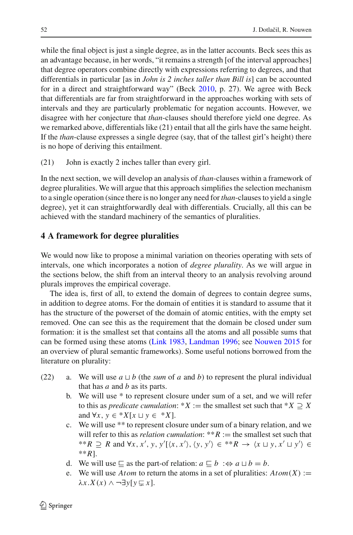while the final object is just a single degree, as in the latter accounts. Beck sees this as an advantage because, in her words, "it remains a strength [of the interval approaches] that degree operators combine directly with expressions referring to degrees, and that differentials in particular [as in *John is 2 inches taller than Bill is*] can be accounted for in a direct and straightforward way" (Beck [2010](#page-31-5), p. 27). We agree with Beck that differentials are far from straightforward in the approaches working with sets of intervals and they are particularly problematic for negation accounts. However, we disagree with her conjecture that *than*-clauses should therefore yield one degree. As we remarked above, differentials like (21) entail that all the girls have the same height. If the *than*-clause expresses a single degree (say, that of the tallest girl's height) there is no hope of deriving this entailment.

(21) John is exactly 2 inches taller than every girl.

In the next section, we will develop an analysis of *than*-clauses within a framework of degree pluralities. We will argue that this approach simplifies the selection mechanism to a single operation (since there is no longer any need for *than*-clauses to yield a single degree), yet it can straightforwardly deal with differentials. Crucially, all this can be achieved with the standard machinery of the semantics of pluralities.

#### <span id="page-7-0"></span>**4 A framework for degree pluralities**

We would now like to propose a minimal variation on theories operating with sets of intervals, one which incorporates a notion of *degree plurality*. As we will argue in the sections below, the shift from an interval theory to an analysis revolving around plurals improves the empirical coverage.

The idea is, first of all, to extend the domain of degrees to contain degree sums, in addition to degree atoms. For the domain of entities it is standard to assume that it has the structure of the powerset of the domain of atomic entities, with the empty set removed. One can see this as the requirement that the domain be closed under sum formation: it is the smallest set that contains all the atoms and all possible sums that can be formed using these atoms [\(Link 1983](#page-32-2), [Landman 1996](#page-32-5); see [Nouwen 2015](#page-32-16) for an overview of plural semantic frameworks). Some useful notions borrowed from the literature on plurality:

- (22) a. We will use  $a \sqcup b$  (the *sum* of a and b) to represent the plural individual that has *a* and *b* as its parts.
	- b. We will use \* to represent closure under sum of a set, and we will refer to this as *predicate cumulation*:  $*X :=$  the smallest set such that  $*X \supseteq X$ and  $\forall x, y \in {^*X}[x \sqcup y \in {^*X}].$
	- c. We will use \*\* to represent closure under sum of a binary relation, and we will refer to this as *relation cumulation*: \*\* $R :=$  the smallest set such that \*\**R* ⊇ *R* and  $\forall x, x', y, y'$ [ $\langle x, x' \rangle, \langle y, y' \rangle \in$ \*\**R* →  $\langle x \sqcup y, x' \sqcup y' \rangle \in$ \*\**R*].
	- d. We will use  $\subseteq$  as the part-of relation:  $a \subseteq b : \Leftrightarrow a \sqcup b = b$ .
	- e. We will use *Atom* to return the atoms in a set of pluralities:  $Atom(X) :=$  $\lambda x. X(x) \wedge \neg \exists y[y \sqsubseteq x].$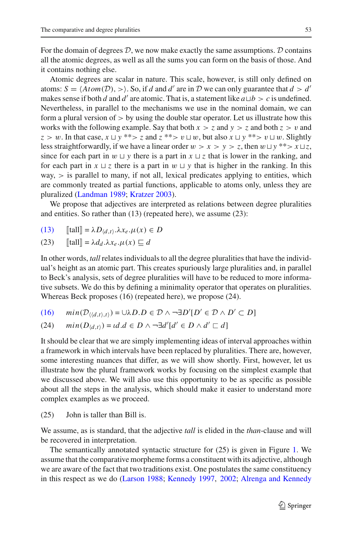For the domain of degrees *D*, we now make exactly the same assumptions. *D* contains all the atomic degrees, as well as all the sums you can form on the basis of those. And it contains nothing else.

Atomic degrees are scalar in nature. This scale, however, is still only defined on atoms:  $S = \langle Atom(\mathcal{D}), \rangle$ . So, if *d* and *d'* are in  $\mathcal{D}$  we can only guarantee that  $d > d'$ makes sense if both *d* and *d'* are atomic. That is, a statement like  $a \Box b > c$  is undefined. Nevertheless, in parallel to the mechanisms we use in the nominal domain, we can form a plural version of  $>$  by using the double star operator. Let us illustrate how this works with the following example. Say that both  $x > z$  and  $y > z$  and both  $z > v$  and  $z > w$ . In that case,  $x \sqcup y$ <sup>\*\*</sup>>  $z$  and  $z$ <sup>\*\*</sup>>  $v \sqcup w$ , but also  $x \sqcup y$ <sup>\*\*</sup>>  $v \sqcup w$ . Slightly less straightforwardly, if we have a linear order  $w > x > y > z$ , then  $w \sqcup y^{**} > x \sqcup z$ , since for each part in  $w \sqcup y$  there is a part in  $x \sqcup z$  that is lower in the ranking, and for each part in  $x \sqcup z$  there is a part in  $w \sqcup y$  that is higher in the ranking. In this way,  $>$  is parallel to many, if not all, lexical predicates applying to entities, which are commonly treated as partial functions, applicable to atoms only, unless they are pluralized [\(Landman 1989](#page-32-4); [Kratzer 2003\)](#page-32-7).

We propose that adjectives are interpreted as relations between degree pluralities and entities. So rather than (13) (repeated here), we assume (23):

 $(13)$  $\text{tall}$  =  $\lambda D_{\langle d,t \rangle}$ . $\lambda x_e$ . $\mu(x) \in D$ 

(23) 
$$
\llbracket \text{tall} \rrbracket = \lambda d_d \cdot \lambda x_e \cdot \mu(x) \sqsubseteq d
$$

In other words, *tall* relates individuals to all the degree pluralities that have the individual's height as an atomic part. This creates spuriously large pluralities and, in parallel to Beck's analysis, sets of degree pluralities will have to be reduced to more informative subsets. We do this by defining a minimality operator that operates on pluralities. Whereas Beck proposes (16) (repeated here), we propose (24).

 $\langle (16)$  $\langle (16)$   $\qquad \min(\mathcal{D}_{\langle \langle d,t \rangle,t \rangle}) = \cup \lambda D \cdot D \in \mathcal{D} \land \neg \exists D' [D' \in \mathcal{D} \land D' \subset D]$ 

$$
(24) \quad min(D_{\langle d,t\rangle}) = \iota d \cdot d \in D \land \neg \exists d'[d' \in D \land d' \sqsubset d]
$$

It should be clear that we are simply implementing ideas of interval approaches within a framework in which intervals have been replaced by pluralities. There are, however, some interesting nuances that differ, as we will show shortly. First, however, let us illustrate how the plural framework works by focusing on the simplest example that we discussed above. We will also use this opportunity to be as specific as possible about all the steps in the analysis, which should make it easier to understand more complex examples as we proceed.

(25) John is taller than Bill is.

We assume, as is standard, that the adjective *tall* is elided in the *than*-clause and will be recovered in interpretation.

The semantically annotated syntactic structure for (25) is given in Figure [1.](#page-9-0) We assume that the comparative morpheme forms a constituent with its adjective, although we are aware of the fact that two traditions exist. One postulates the same constituency in this respect as we do [\(Larson 1988;](#page-32-17) [Kennedy 1997](#page-32-18), [2002](#page-32-19); [Alrenga and Kennedy](#page-31-7)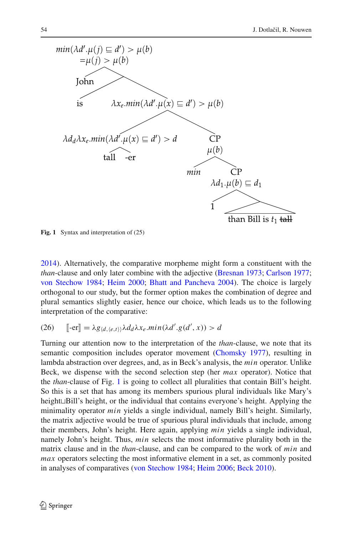

<span id="page-9-0"></span>**Fig. 1** Syntax and interpretation of (25)

[2014\)](#page-31-7). Alternatively, the comparative morpheme might form a constituent with the *than*-clause and only later combine with the adjective [\(Bresnan 1973](#page-31-8); [Carlson 1977](#page-31-9); [von Stechow 1984](#page-33-4); [Heim 2000;](#page-32-20) [Bhatt and Pancheva 2004](#page-31-10)). The choice is largely orthogonal to our study, but the former option makes the combination of degree and plural semantics slightly easier, hence our choice, which leads us to the following interpretation of the comparative:

$$
(26) \quad \left[ \left[ -\text{er} \right] \right] = \lambda g_{\langle d, \langle e, t \rangle \rangle} \lambda d_d \lambda x_e \min(\lambda d'.g(d', x)) > d
$$

Turning our attention now to the interpretation of the *than*-clause, we note that its semantic composition includes operator movement [\(Chomsky 1977\)](#page-31-11), resulting in lambda abstraction over degrees, and, as in Beck's analysis, the *min* operator. Unlike Beck, we dispense with the second selection step (her *max* operator). Notice that the *than*-clause of Fig. [1](#page-9-0) is going to collect all pluralities that contain Bill's height. So this is a set that has among its members spurious plural individuals like Mary's height $\Box$ Bill's height, or the individual that contains everyone's height. Applying the minimality operator *min* yields a single individual, namely Bill's height. Similarly, the matrix adjective would be true of spurious plural individuals that include, among their members, John's height. Here again, applying *min* yields a single individual, namely John's height. Thus, *min* selects the most informative plurality both in the matrix clause and in the *than*-clause, and can be compared to the work of *min* and *max* operators selecting the most informative element in a set, as commonly posited in analyses of comparatives [\(von Stechow 1984](#page-33-4); [Heim 2006](#page-32-15); [Beck 2010](#page-31-5)).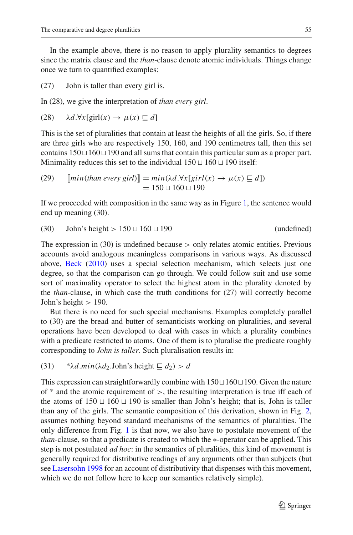In the example above, there is no reason to apply plurality semantics to degrees since the matrix clause and the *than*-clause denote atomic individuals. Things change once we turn to quantified examples:

(27) John is taller than every girl is.

In (28), we give the interpretation of *than every girl*.

(28) 
$$
\lambda d.\forall x[\text{girl}(x) \to \mu(x) \sqsubseteq d]
$$

This is the set of pluralities that contain at least the heights of all the girls. So, if there are three girls who are respectively 150, 160, and 190 centimetres tall, then this set contains  $150 \sqcup 160 \sqcup 190$  and all sums that contain this particular sum as a proper part. Minimality reduces this set to the individual  $150 \sqcup 160 \sqcup 190$  itself:

(29) 
$$
\begin{aligned} \llbracket min(\text{than every girl}) \rrbracket &= \min(\lambda d. \forall x [\text{girl}(x) \to \mu(x) \sqsubseteq d]) \\ &= 150 \sqcup 160 \sqcup 190 \end{aligned}
$$

If we proceeded with composition in the same way as in Figure [1,](#page-9-0) the sentence would end up meaning (30).

$$
(30) \tJohn's height > 150 \sqcup 160 \sqcup 190 \t(undefined)
$$

The expression in  $(30)$  is undefined because  $>$  only relates atomic entities. Previous accounts avoid analogous meaningless comparisons in various ways. As discussed above, [Beck](#page-31-5) [\(2010\)](#page-31-5) uses a special selection mechanism, which selects just one degree, so that the comparison can go through. We could follow suit and use some sort of maximality operator to select the highest atom in the plurality denoted by the *than*-clause, in which case the truth conditions for (27) will correctly become John's height  $> 190$ .

But there is no need for such special mechanisms. Examples completely parallel to (30) are the bread and butter of semanticists working on pluralities, and several operations have been developed to deal with cases in which a plurality combines with a predicate restricted to atoms. One of them is to pluralise the predicate roughly corresponding to *John is taller*. Such pluralisation results in:

(31)  $*\lambda d.min(\lambda d_2.John's height \sqsubseteq d_2) > d$ 

This expression can straightforwardly combine with  $150\sqcup 160\sqcup 190$ . Given the nature of  $*$  and the atomic requirement of  $\geq$ , the resulting interpretation is true iff each of the atoms of  $150 \sqcup 160 \sqcup 190$  is smaller than John's height; that is, John is taller than any of the girls. The semantic composition of this derivation, shown in Fig. [2,](#page-11-0) assumes nothing beyond standard mechanisms of the semantics of pluralities. The only difference from Fig. [1](#page-9-0) is that now, we also have to postulate movement of the *than*-clause, so that a predicate is created to which the ∗-operator can be applied. This step is not postulated *ad hoc*: in the semantics of pluralities, this kind of movement is generally required for distributive readings of any arguments other than subjects (but see [Lasersohn 1998](#page-32-21) for an account of distributivity that dispenses with this movement, which we do not follow here to keep our semantics relatively simple).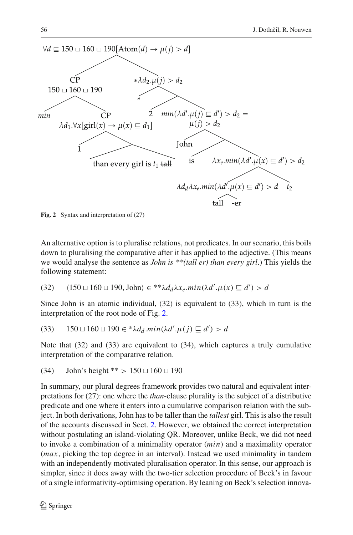

<span id="page-11-0"></span>**Fig. 2** Syntax and interpretation of (27)

An alternative option is to pluralise relations, not predicates. In our scenario, this boils down to pluralising the comparative after it has applied to the adjective. (This means we would analyse the sentence as *John is \*\*(tall er) than every girl*.) This yields the following statement:

$$
(32) \quad \langle 150 \sqcup 160 \sqcup 190, \text{John} \rangle \in {**} \lambda d_d \lambda x_e \min(\lambda d' . \mu(x) \sqsubseteq d') > d
$$

Since John is an atomic individual, (32) is equivalent to (33), which in turn is the interpretation of the root node of Fig. [2.](#page-11-0)

$$
(33) \quad 150 \sqcup 160 \sqcup 190 \in {^* \lambda} d_d.min(\lambda d'.\mu(j) \sqsubseteq d') > d
$$

Note that (32) and (33) are equivalent to (34), which captures a truly cumulative interpretation of the comparative relation.

(34) John's height  $**$  > 150  $\sqcup$  160  $\sqcup$  190

In summary, our plural degrees framework provides two natural and equivalent interpretations for (27): one where the *than*-clause plurality is the subject of a distributive predicate and one where it enters into a cumulative comparison relation with the subject. In both derivations, John has to be taller than the *tallest* girl. This is also the result of the accounts discussed in Sect. [2.](#page-2-0) However, we obtained the correct interpretation without postulating an island-violating QR. Moreover, unlike Beck, we did not need to invoke a combination of a minimality operator (*min*) and a maximality operator (*max*, picking the top degree in an interval). Instead we used minimality in tandem with an independently motivated pluralisation operator. In this sense, our approach is simpler, since it does away with the two-tier selection procedure of Beck's in favour of a single informativity-optimising operation. By leaning on Beck's selection innova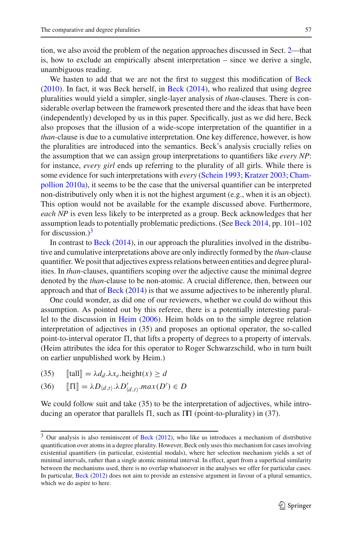tion, we also avoid the problem of the negation approaches discussed in Sect. [2—](#page-2-0)that is, how to exclude an empirically absent interpretation – since we derive a single, unambiguous reading.

We hasten to add that we are not the first to suggest this modification of [Beck](#page-31-5) [\(2010\)](#page-31-5). In fact, it was Beck herself, in [Beck](#page-31-4) [\(2014](#page-31-4)), who realized that using degree pluralities would yield a simpler, single-layer analysis of *than*-clauses. There is considerable overlap between the framework presented there and the ideas that have been (independently) developed by us in this paper. Specifically, just as we did here, Beck also proposes that the illusion of a wide-scope interpretation of the quantifier in a *than*-clause is due to a cumulative interpretation. One key difference, however, is how the pluralities are introduced into the semantics. Beck's analysis crucially relies on the assumption that we can assign group interpretations to quantifiers like *every NP*: for instance, *every girl* ends up referring to the plurality of all girls. While there is some e[vidence](#page-31-12) [for](#page-31-12) [such](#page-31-12) [interpretations](#page-31-12) [with](#page-31-12) *every* [\(Schein 1993;](#page-33-2) [Kratzer 2003](#page-32-7); Champollion [2010a\)](#page-31-12), it seems to be the case that the universal quantifier can be interpreted non-distributively only when it is not the highest argument (e.g., when it is an object). This option would not be available for the example discussed above. Furthermore, *each NP* is even less likely to be interpreted as a group. Beck acknowledges that her assumption leads to potentially problematic predictions. (See [Beck 2014](#page-31-4), pp. 101–102 for discussion.) $3$ 

In contrast to [Beck](#page-31-4) [\(2014](#page-31-4)), in our approach the pluralities involved in the distributive and cumulative interpretations above are only indirectly formed by the *than*-clause quantifier.We posit that adjectives express relations between entities and degree pluralities. In *than*-clauses, quantifiers scoping over the adjective cause the minimal degree denoted by the *than*-clause to be non-atomic. A crucial difference, then, between our approach and that of [Beck](#page-31-4) [\(2014\)](#page-31-4) is that we assume adjectives to be inherently plural.

One could wonder, as did one of our reviewers, whether we could do without this assumption. As pointed out by this referee, there is a potentially interesting parallel to the discussion in [Heim](#page-32-15) [\(2006\)](#page-32-15). Heim holds on to the simple degree relation interpretation of adjectives in (35) and proposes an optional operator, the so-called point-to-interval operator  $\Pi$ , that lifts a property of degrees to a property of intervals. (Heim attributes the idea for this operator to Roger Schwarzschild, who in turn built on earlier unpublished work by Heim.)

- $(35)$  $[\text{tall}] = \lambda d_d \cdot \lambda x_e \cdot \text{height}(x) \geq d$
- $(36)$  $\Pi$   $\mathbb{I} = \lambda D_{\langle d,t \rangle} \cdot \lambda D'_{\langle d,t \rangle} \cdot max(D') \in D$

We could follow suit and take  $(35)$  to be the interpretation of adjectives, while introducing an operator that parallels  $\Pi$ , such as  $\Pi$  (point-to-plurality) in (37).

<span id="page-12-0"></span><sup>3</sup> Our analysis is also reminiscent of [Beck](#page-31-3) [\(2012\)](#page-31-3), who like us introduces a mechanism of distributive quantification over atoms in a degree plurality. However, Beck only uses this mechanism for cases involving existential quantifiers (in particular, existential modals), where her selection mechanism yields a set of minimal intervals, rather than a single atomic minimal interval. In effect, apart from a superficial similarity between the mechanisms used, there is no overlap whatsoever in the analyses we offer for particular cases. In particular, [Beck](#page-31-3) [\(2012](#page-31-3)) does not aim to provide an extensive argument in favour of a plural semantics, which we do aspire to here.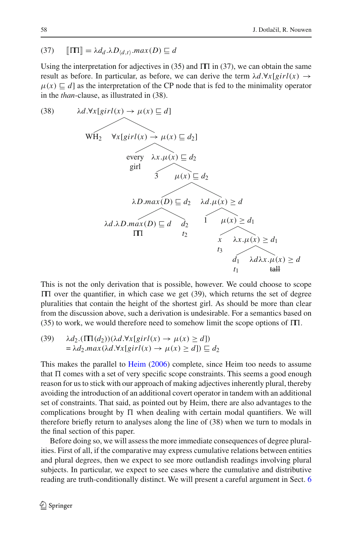$$
(37) \quad [\![\Pi]\!] = \lambda d_d \cdot \lambda D_{\langle d,t \rangle}.max(D) \sqsubseteq d
$$

Using the interpretation for adjectives in (35) and  $\Pi$  in (37), we can obtain the same result as before. In particular, as before, we can derive the term  $\lambda d.\forall x[girl(x) \rightarrow$  $\mu(x) \sqsubset d$  as the interpretation of the CP node that is fed to the minimality operator in the *than*-clause, as illustrated in (38).



This is not the only derivation that is possible, however. We could choose to scope  $\Pi$  over the quantifier, in which case we get (39), which returns the set of degree pluralities that contain the height of the shortest girl. As should be more than clear from the discussion above, such a derivation is undesirable. For a semantics based on (35) to work, we would therefore need to somehow limit the scope options of  $\Pi$ .

(39) 
$$
\lambda d_2.(\Pi(\{d_2\})) (\lambda d.\forall x [girl(x) \rightarrow \mu(x) \ge d])
$$
  
=  $\lambda d_2.max(\lambda d.\forall x [girl(x) \rightarrow \mu(x) \ge d]) \sqsubseteq d_2$ 

This makes the parallel to [Heim](#page-32-15) [\(2006](#page-32-15)) complete, since Heim too needs to assume that  $\Pi$  comes with a set of very specific scope constraints. This seems a good enough reason for us to stick with our approach of making adjectives inherently plural, thereby avoiding the introduction of an additional covert operator in tandem with an additional set of constraints. That said, as pointed out by Heim, there are also advantages to the complications brought by  $\Pi$  when dealing with certain modal quantifiers. We will therefore briefly return to analyses along the line of (38) when we turn to modals in the final section of this paper.

Before doing so, we will assess the more immediate consequences of degree pluralities. First of all, if the comparative may express cumulative relations between entities and plural degrees, then we expect to see more outlandish readings involving plural subjects. In particular, we expect to see cases where the cumulative and distributive reading are truth-conditionally distinct. We will present a careful argument in Sect. [6](#page-17-0)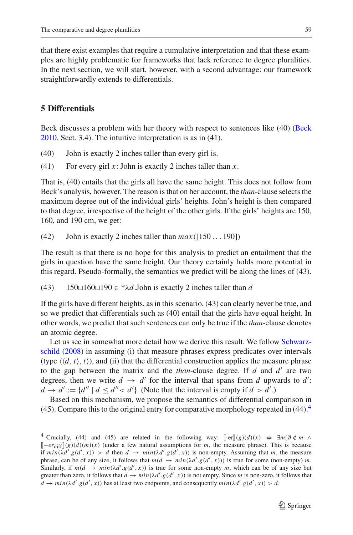that there exist examples that require a cumulative interpretation and that these examples are highly problematic for frameworks that lack reference to degree pluralities. In the next section, we will start, however, with a second advantage: our framework straightforwardly extends to differentials.

#### <span id="page-14-0"></span>**5 Differentials**

Beck discusses a problem with her theory with respect to sentences like (40) [\(Beck](#page-31-5) [2010,](#page-31-5) Sect. 3.4). The intuitive interpretation is as in (41).

- (40) John is exactly 2 inches taller than every girl is.
- (41) For every girl *x*: John is exactly 2 inches taller than *x*.

That is, (40) entails that the girls all have the same height. This does not follow from Beck's analysis, however. The reason is that on her account, the *than*-clause selects the maximum degree out of the individual girls' heights. John's height is then compared to that degree, irrespective of the height of the other girls. If the girls' heights are 150, 160, and 190 cm, we get:

(42) John is exactly 2 inches taller than *max*([150 ... 190])

The result is that there is no hope for this analysis to predict an entailment that the girls in question have the same height. Our theory certainly holds more potential in this regard. Pseudo-formally, the semantics we predict will be along the lines of (43).

(43) 150⊔160⊔190 ∈ \* $\lambda d$ .John is exactly 2 inches taller than *d* 

If the girls have different heights, as in this scenario, (43) can clearly never be true, and so we predict that differentials such as (40) entail that the girls have equal height. In other words, we predict that such sentences can only be true if the *than*-clause denotes an atomic degree.

Le[t](#page-33-7) [us](#page-33-7) [see](#page-33-7) [in](#page-33-7) [somewhat](#page-33-7) [more](#page-33-7) [detail](#page-33-7) [how](#page-33-7) [we](#page-33-7) [derive](#page-33-7) [this](#page-33-7) [result.](#page-33-7) [We](#page-33-7) [follow](#page-33-7) Schwarzschild [\(2008\)](#page-33-7) in assuming (i) that measure phrases express predicates over intervals (type  $\langle \langle d, t \rangle, t \rangle$ ), and (ii) that the differential construction applies the measure phrase to the gap between the matrix and the *than*-clause degree. If  $d$  and  $d'$  are two degrees, then we write  $d \rightarrow d'$  for the interval that spans from *d* upwards to *d*':  $d \to d' := \{d'' \mid d \leq d'' < d'\}.$  (Note that the interval is empty if  $d > d'$ .)

Based on this mechanism, we propose the semantics of differential comparison in ([4](#page-14-1)5). Compare this to the original entry for comparative morphology repeated in  $(44)$ .<sup>4</sup>

<span id="page-14-1"></span> $\frac{4}{\pi}$  Crucially, (44) and (45) are related in the following way:  $[-er](g)(d)(x) \Leftrightarrow \exists m[\emptyset \notin m \wedge \emptyset]$ -−*er*diff(*g*)(*d*)(*m*)(*x*) (under a few natural assumptions for *m*, the measure phrase). This is because if  $min(\lambda d'.g(d',x)) > d$  then  $d \rightarrow min(\lambda d'.g(d',x))$  is non-empty. Assuming that *m*, the measure phrase, can be of any size, it follows that  $m(d \rightarrow min(\lambda d'.g(d', x)))$  is true for some (non-empty) *m*. Similarly, if  $m(d \rightarrow min(\lambda d'.g(d', x))$  is true for some non-empty *m*, which can be of any size but greater than zero, it follows that  $d \rightarrow min(\lambda d'.g(d', x))$  is not empty. Since *m* is non-zero, it follows that  $d \rightarrow min(\lambda d'.g(d', x))$  has at least two endpoints, and consequently  $min(\lambda d'.g(d', x)) > d$ .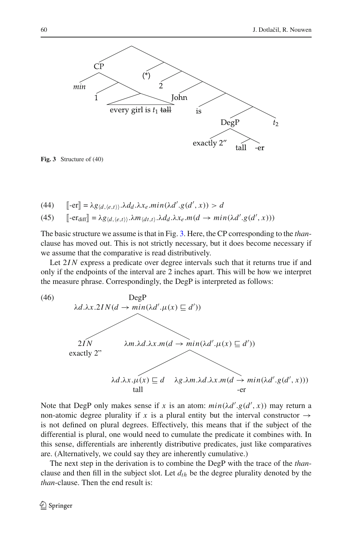

<span id="page-15-0"></span>**Fig. 3** Structure of (40)

 $(44)$  $\text{er}$  $\parallel = \lambda g_{\langle d, \langle e, t \rangle \rangle} \cdot \lambda d_d \cdot \lambda x_e \cdot min(\lambda d' \cdot g(d', x)) > d$ 

(45) 
$$
\llbracket -\mathrm{er}_{\mathrm{diff}} \rrbracket = \lambda g_{\langle d, \langle e, t \rangle \rangle} \cdot \lambda m_{\langle dt, t \rangle} \cdot \lambda d_d \cdot \lambda x_e.m(d \rightarrow min(\lambda d'.g(d', x)))
$$

The basic structure we assume is that in Fig. [3.](#page-15-0) Here, the CP corresponding to the *than*clause has moved out. This is not strictly necessary, but it does become necessary if we assume that the comparative is read distributively.

Let 2*IN* express a predicate over degree intervals such that it returns true if and only if the endpoints of the interval are 2 inches apart. This will be how we interpret the measure phrase. Correspondingly, the DegP is interpreted as follows:



Note that DegP only makes sense if *x* is an atom:  $min(\lambda d'.g(d', x))$  may return a non-atomic degree plurality if *x* is a plural entity but the interval constructor  $\rightarrow$ is not defined on plural degrees. Effectively, this means that if the subject of the differential is plural, one would need to cumulate the predicate it combines with. In this sense, differentials are inherently distributive predicates, just like comparatives are. (Alternatively, we could say they are inherently cumulative.)

The next step in the derivation is to combine the DegP with the trace of the *than*clause and then fill in the subject slot. Let  $d_{th}$  be the degree plurality denoted by the *than*-clause. Then the end result is: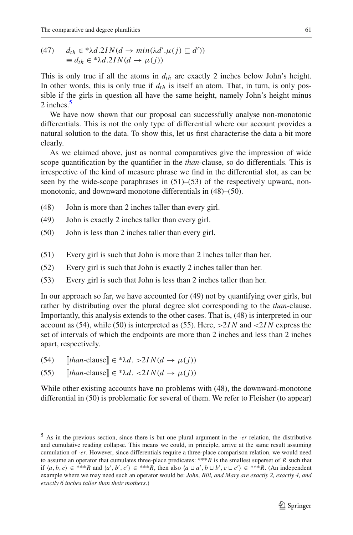(47)  $d_{th} \in {}^*\lambda d.2IN(d \rightarrow min(\lambda d'.\mu(j) \sqsubseteq d'))$  $\equiv d_{th} \in {}^* \lambda d.2 IN(d \rightarrow \mu(i))$ 

This is only true if all the atoms in  $d_{th}$  are exactly 2 inches below John's height. In other words, this is only true if  $d_{th}$  is itself an atom. That, in turn, is only possible if the girls in question all have the same height, namely John's height minus 2 inches  $^5$ 

We have now shown that our proposal can successfully analyse non-monotonic differentials. This is not the only type of differential where our account provides a natural solution to the data. To show this, let us first characterise the data a bit more clearly.

As we claimed above, just as normal comparatives give the impression of wide scope quantification by the quantifier in the *than*-clause, so do differentials. This is irrespective of the kind of measure phrase we find in the differential slot, as can be seen by the wide-scope paraphrases in (51)–(53) of the respectively upward, nonmonotonic, and downward monotone differentials in (48)–(50).

- (48) John is more than 2 inches taller than every girl.
- (49) John is exactly 2 inches taller than every girl.
- (50) John is less than 2 inches taller than every girl.
- (51) Every girl is such that John is more than 2 inches taller than her.
- (52) Every girl is such that John is exactly 2 inches taller than her.
- (53) Every girl is such that John is less than 2 inches taller than her.

In our approach so far, we have accounted for (49) not by quantifying over girls, but rather by distributing over the plural degree slot corresponding to the *than*-clause. Importantly, this analysis extends to the other cases. That is, (48) is interpreted in our account as (54), while (50) is interpreted as (55). Here, >2*I N* and <2*I N* express the set of intervals of which the endpoints are more than 2 inches and less than 2 inches apart, respectively.

- $(54)$  $[than$ -clause $] \in$  \* $\lambda d.$  >2*IN*( $d \rightarrow \mu(j)$ )
- $(55)$  $[than$ -clause $] \in$  \* $\lambda d$ . <2*IN*( $d \rightarrow \mu(j)$ )

While other existing accounts have no problems with (48), the downward-monotone differential in (50) is problematic for several of them. We refer to Fleisher (to appear)

<span id="page-16-0"></span><sup>5</sup> As in the previous section, since there is but one plural argument in the *-er* relation, the distributive and cumulative reading collapse. This means we could, in principle, arrive at the same result assuming cumulation of *-er*. However, since differentials require a three-place comparison relation, we would need to assume an operator that cumulates three-place predicates: \*\*\**R* is the smallest superset of *R* such that if  $\langle a, b, c \rangle \in$  \*\*\**R* and  $\langle a', b', c' \rangle \in$  \*\*\**R*, then also  $\langle a \sqcup a', b \sqcup b', c \sqcup c' \rangle \in$  \*\*\**R*. (An independent example where we may need such an operator would be: *John, Bill, and Mary are exactly 2, exactly 4, and exactly 6 inches taller than their mothers*.)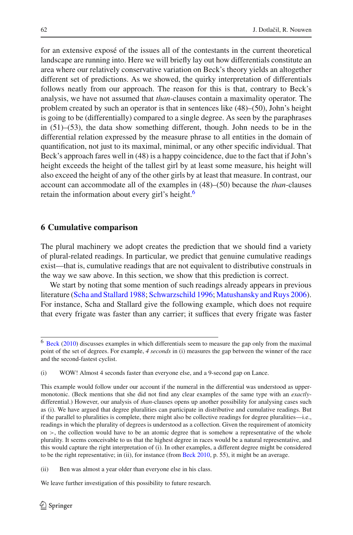for an extensive exposé of the issues all of the contestants in the current theoretical landscape are running into. Here we will briefly lay out how differentials constitute an area where our relatively conservative variation on Beck's theory yields an altogether different set of predictions. As we showed, the quirky interpretation of differentials follows neatly from our approach. The reason for this is that, contrary to Beck's analysis, we have not assumed that *than*-clauses contain a maximality operator. The problem created by such an operator is that in sentences like (48)–(50), John's height is going to be (differentially) compared to a single degree. As seen by the paraphrases in (51)–(53), the data show something different, though. John needs to be in the differential relation expressed by the measure phrase to all entities in the domain of quantification, not just to its maximal, minimal, or any other specific individual. That Beck's approach fares well in (48) is a happy coincidence, due to the fact that if John's height exceeds the height of the tallest girl by at least some measure, his height will also exceed the height of any of the other girls by at least that measure. In contrast, our account can accommodate all of the examples in (48)–(50) because the *than*-clauses retain the information about every girl's height.<sup>[6](#page-17-1)</sup>

### <span id="page-17-0"></span>**6 Cumulative comparison**

The plural machinery we adopt creates the prediction that we should find a variety of plural-related readings. In particular, we predict that genuine cumulative readings exist—that is, cumulative readings that are not equivalent to distributive construals in the way we saw above. In this section, we show that this prediction is correct.

We start by noting that some mention of such readings already appears in previous literature [\(Scha and Stallard 1988](#page-33-9); [Schwarzschild 1996](#page-33-0); [Matushansky and Ruys 2006](#page-32-11)). For instance, Scha and Stallard give the following example, which does not require that every frigate was faster than any carrier; it suffices that every frigate was faster

(ii) Ben was almost a year older than everyone else in his class.

We leave further investigation of this possibility to future research.

<span id="page-17-1"></span><sup>&</sup>lt;sup>6</sup> [Beck](#page-31-5) [\(2010\)](#page-31-5) discusses examples in which differentials seem to measure the gap only from the maximal point of the set of degrees. For example, *4 seconds* in (i) measures the gap between the winner of the race and the second-fastest cyclist.

<sup>(</sup>i) WOW! Almost 4 seconds faster than everyone else, and a 9-second gap on Lance.

This example would follow under our account if the numeral in the differential was understood as uppermonotonic. (Beck mentions that she did not find any clear examples of the same type with an *exactly*differential.) However, our analysis of *than*-clauses opens up another possibility for analysing cases such as (i). We have argued that degree pluralities can participate in distributive and cumulative readings. But if the parallel to pluralities is complete, there might also be collective readings for degree pluralities—i.e., readings in which the plurality of degrees is understood as a collection. Given the requirement of atomicity on  $\ge$ , the collection would have to be an atomic degree that is somehow a representative of the whole plurality. It seems conceivable to us that the highest degree in races would be a natural representative, and this would capture the right interpretation of (i). In other examples, a different degree might be considered to be the right representative; in (ii), for instance (from [Beck 2010,](#page-31-5) p. 55), it might be an average.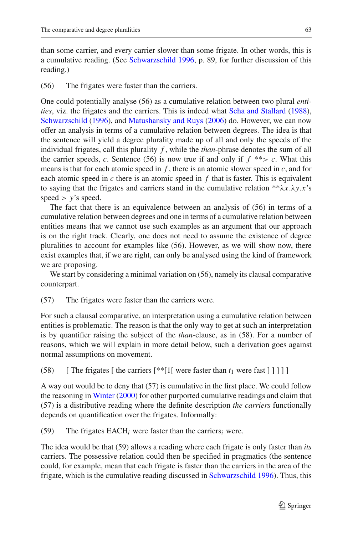than some carrier, and every carrier slower than some frigate. In other words, this is a cumulative reading. (See [Schwarzschild 1996,](#page-33-0) p. 89, for further discussion of this reading.)

(56) The frigates were faster than the carriers.

One could potentially analyse (56) as a cumulative relation between two plural *entities*, viz. the frigates and the carriers. This is indeed what [Scha and Stallard](#page-33-9) [\(1988](#page-33-9)), [Schwarzschild](#page-33-0) [\(1996\)](#page-33-0), and [Matushansky and Ruys](#page-32-11) [\(2006\)](#page-32-11) do. However, we can now offer an analysis in terms of a cumulative relation between degrees. The idea is that the sentence will yield a degree plurality made up of all and only the speeds of the individual frigates, call this plurality *f*, while the *than*-phrase denotes the sum of all the carrier speeds, *c*. Sentence (56) is now true if and only if  $f^{**} > c$ . What this means is that for each atomic speed in  $f$ , there is an atomic slower speed in  $c$ , and for each atomic speed in *c* there is an atomic speed in *f* that is faster. This is equivalent to saying that the frigates and carriers stand in the cumulative relation \*\*λ*x*.λ*y*.*x*'s speed  $> y$ 's speed.

The fact that there is an equivalence between an analysis of (56) in terms of a cumulative relation between degrees and one in terms of a cumulative relation between entities means that we cannot use such examples as an argument that our approach is on the right track. Clearly, one does not need to assume the existence of degree pluralities to account for examples like (56). However, as we will show now, there exist examples that, if we are right, can only be analysed using the kind of framework we are proposing.

We start by considering a minimal variation on (56), namely its clausal comparative counterpart.

(57) The frigates were faster than the carriers were.

For such a clausal comparative, an interpretation using a cumulative relation between entities is problematic. The reason is that the only way to get at such an interpretation is by quantifier raising the subject of the *than*-clause, as in (58). For a number of reasons, which we will explain in more detail below, such a derivation goes against normal assumptions on movement.

(58) [ The frigates  $\lceil \text{ the carriers } \rceil^* \lceil \text{1} \rceil$  were faster than  $t_1$  were fast  $\lceil \text{1} \rceil$  ]  $\lceil \text{1} \rceil$ 

A way out would be to deny that (57) is cumulative in the first place. We could follow the reasoning in [Winter](#page-33-10) [\(2000](#page-33-10)) for other purported cumulative readings and claim that (57) is a distributive reading where the definite description *the carriers* functionally depends on quantification over the frigates. Informally:

(59) The frigates EACH*i* were faster than the carriers*i* were.

The idea would be that (59) allows a reading where each frigate is only faster than *its* carriers. The possessive relation could then be specified in pragmatics (the sentence could, for example, mean that each frigate is faster than the carriers in the area of the frigate, which is the cumulative reading discussed in [Schwarzschild 1996\)](#page-33-0). Thus, this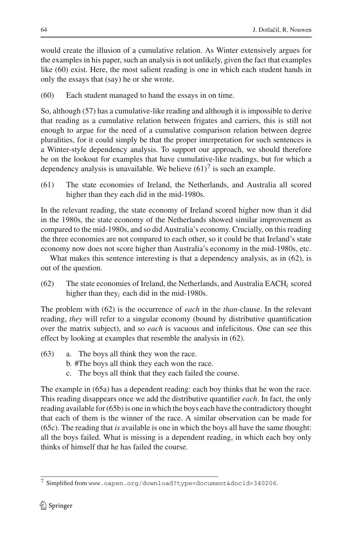would create the illusion of a cumulative relation. As Winter extensively argues for the examples in his paper, such an analysis is not unlikely, given the fact that examples like (60) exist. Here, the most salient reading is one in which each student hands in only the essays that (say) he or she wrote.

(60) Each student managed to hand the essays in on time.

So, although (57) has a cumulative-like reading and although it is impossible to derive that reading as a cumulative relation between frigates and carriers, this is still not enough to argue for the need of a cumulative comparison relation between degree pluralities, for it could simply be that the proper interpretation for such sentences is a Winter-style dependency analysis. To support our approach, we should therefore be on the lookout for examples that have cumulative-like readings, but for which a dependency analysis is unavailable. We believe  $(61)^7$  $(61)^7$  is such an example.

(61) The state economies of Ireland, the Netherlands, and Australia all scored higher than they each did in the mid-1980s.

In the relevant reading, the state economy of Ireland scored higher now than it did in the 1980s, the state economy of the Netherlands showed similar improvement as compared to the mid-1980s, and so did Australia's economy. Crucially, on this reading the three economies are not compared to each other, so it could be that Ireland's state economy now does not score higher than Australia's economy in the mid-1980s, etc.

What makes this sentence interesting is that a dependency analysis, as in (62), is out of the question.

(62) The state economies of Ireland, the Netherlands, and Australia EACH*i* scored higher than they*i* each did in the mid-1980s.

The problem with (62) is the occurrence of *each* in the *than*-clause. In the relevant reading, *they* will refer to a singular economy (bound by distributive quantification over the matrix subject), and so *each* is vacuous and infelicitous. One can see this effect by looking at examples that resemble the analysis in (62).

- (63) a. The boys all think they won the race.
	- b. #The boys all think they each won the race.
	- c. The boys all think that they each failed the course.

The example in (65a) has a dependent reading: each boy thinks that he won the race. This reading disappears once we add the distributive quantifier *each*. In fact, the only reading available for (65b) is one in which the boys each have the contradictory thought that each of them is the winner of the race. A similar observation can be made for (65c). The reading that *is* available is one in which the boys all have the same thought: all the boys failed. What is missing is a dependent reading, in which each boy only thinks of himself that he has failed the course.

<span id="page-19-0"></span><sup>7</sup> Simplified from www.oapen.org/download?type=document&docid=340206.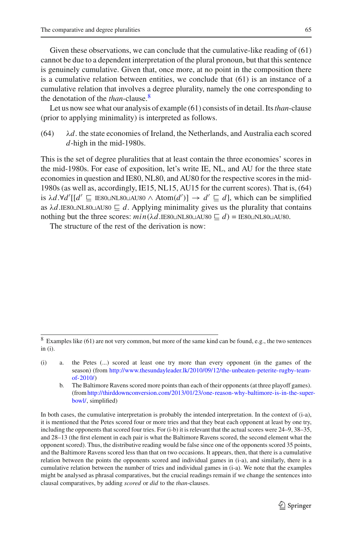Given these observations, we can conclude that the cumulative-like reading of (61) cannot be due to a dependent interpretation of the plural pronoun, but that this sentence is genuinely cumulative. Given that, once more, at no point in the composition there is a cumulative relation between entities, we conclude that (61) is an instance of a cumulative relation that involves a degree plurality, namely the one corresponding to the denotation of the *than*-clause.[8](#page-20-0)

Let us now see what our analysis of example (61) consists of in detail. Its*than*-clause (prior to applying minimality) is interpreted as follows.

 $(64)$   $\lambda$ *d*. the state economies of Ireland, the Netherlands, and Australia each scored *d*-high in the mid-1980s.

This is the set of degree pluralities that at least contain the three economies' scores in the mid-1980s. For ease of exposition, let's write IE, NL, and AU for the three state economies in question and IE80, NL80, and AU80 for the respective scores in the mid-1980s (as well as, accordingly, IE15, NL15, AU15 for the current scores). That is, (64) is  $\lambda d.\forall d'[[d'] \sqsubseteq \text{IESOLNL80}\sqcup \text{AUS0} \wedge \text{Atom}(d')] \rightarrow d' \sqsubseteq d]$ , which can be simplified as  $\lambda d$ .IE80 $\cup$ NL80 $\cup$ AU80  $\subseteq$  *d*. Applying minimality gives us the plurality that contains nothing but the three scores:  $min(\lambda d \text{.IE80} \cup \text{NLS0} \cup \text{AUS0} \subseteq d) = \text{IE80} \cup \text{NLS0} \cup \text{AUS0}.$ 

The structure of the rest of the derivation is now:

<span id="page-20-0"></span><sup>8</sup> Examples like (61) are not very common, but more of the same kind can be found, e.g., the two sentences in (i).

<sup>(</sup>i) a. the Petes (...) scored at least one try more than every opponent (in the games of the season) (from [http://www.thesundayleader.lk/2010/09/12/the-unbeaten-peterite-rugby-team](http://www.thesundayleader.lk/2010/09/12/the-unbeaten-peterite-rugby-team-of-2010/)[of-2010/\)](http://www.thesundayleader.lk/2010/09/12/the-unbeaten-peterite-rugby-team-of-2010/)

b. The Baltimore Ravens scored more points than each of their opponents (at three playoff games). (from[http://thirddownconversion.com/2013/01/23/one-reason-why-baltimore-is-in-the-super](http://thirddownconversion.com/2013/01/23/one-reason-why-baltimore-is-in-the-super-bowl/)[bowl/,](http://thirddownconversion.com/2013/01/23/one-reason-why-baltimore-is-in-the-super-bowl/) simplified)

In both cases, the cumulative interpretation is probably the intended interpretation. In the context of (i-a), it is mentioned that the Petes scored four or more tries and that they beat each opponent at least by one try, including the opponents that scored four tries. For (i-b) it is relevant that the actual scores were 24–9, 38–35, and 28–13 (the first element in each pair is what the Baltimore Ravens scored, the second element what the opponent scored). Thus, the distributive reading would be false since one of the opponents scored 35 points, and the Baltimore Ravens scored less than that on two occasions. It appears, then, that there is a cumulative relation between the points the opponents scored and individual games in (i-a), and similarly, there is a cumulative relation between the number of tries and individual games in (i-a). We note that the examples might be analysed as phrasal comparatives, but the crucial readings remain if we change the sentences into clausal comparatives, by adding *scored* or *did* to the *than*-clauses.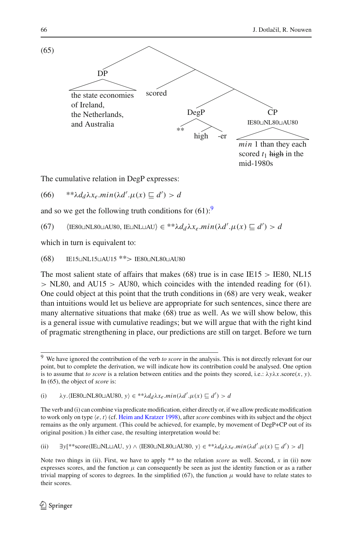

The cumulative relation in DegP expresses:

(66)  $**\lambda d_d\lambda x_e \text{ min}(\lambda d'.\mu(x) \sqsubseteq d') > d$ 

and so we get the following truth conditions for  $(61)$ :

(67)  $\langle$ IE80 $\Box$ NL80 $\Box$ AU80, IE $\Box$ NL $\Box$ AU $\rangle \in$  \*\* $\lambda d_d \lambda x_e$ .*min*( $\lambda d'.\mu(x) \sqsubseteq d'$ ) > *d* 

which in turn is equivalent to:

 $(68)$  IE15 $\cup$ NL15 $\cup$ AU15<sup>\*\*</sup>> IE80 $\cup$ NL80 $\cup$ AU80

The most salient state of affairs that makes (68) true is in case IE15  $>$  IE80, NL15  $>$  NL80, and AU15  $>$  AU80, which coincides with the intended reading for (61). One could object at this point that the truth conditions in (68) are very weak, weaker than intuitions would let us believe are appropriate for such sentences, since there are many alternative situations that make (68) true as well. As we will show below, this is a general issue with cumulative readings; but we will argue that with the right kind of pragmatic strengthening in place, our predictions are still on target. Before we turn

(ii)  $\exists y[^{**}score(IE \cup NL \cup AU, y) \wedge \langle IES0 \cup NL80 \cup AU80, y \rangle \in {**} \lambda d_d \lambda x_e \ldots \text{min}(\lambda d' \ldots \mu(x) \sqsubseteq d') > d$ 

<span id="page-21-0"></span><sup>9</sup> We have ignored the contribution of the verb *to score* in the analysis. This is not directly relevant for our point, but to complete the derivation, we will indicate how its contribution could be analysed. One option is to assume that *to score* is a relation between entities and the points they scored, i.e.:  $\lambda y \lambda x$ .score $(x, y)$ . In (65), the object of *score* is:

<sup>(</sup>i)  $\lambda y.$  (IE80 $\Box$ NL80 $\Box$ AU80,  $y \rangle \in$  \*\* $\lambda d_d \lambda x_e \text{.}$ *min*( $\lambda d' . \mu(x) \sqsubseteq d'$ ) > *d* 

The verb and (i) can combine via predicate modification, either directly or, if we allow predicate modification to work only on type  $\langle e, t \rangle$  (cf. [Heim and Kratzer 1998\)](#page-32-22), after *score* combines with its subject and the object remains as the only argument. (This could be achieved, for example, by movement of DegP+CP out of its original position.) In either case, the resulting interpretation would be:

Note two things in (ii). First, we have to apply \*\* to the relation *score* as well. Second, *x* in (ii) now expresses scores, and the function  $\mu$  can consequently be seen as just the identity function or as a rather trivial mapping of scores to degrees. In the simplified (67), the function  $\mu$  would have to relate states to their scores.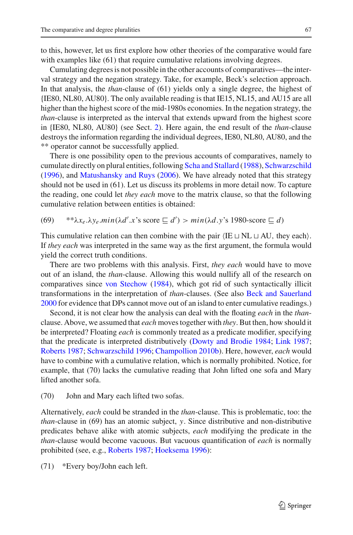to this, however, let us first explore how other theories of the comparative would fare with examples like  $(61)$  that require cumulative relations involving degrees.

Cumulating degrees is not possible in the other accounts of comparatives—the interval strategy and the negation strategy. Take, for example, Beck's selection approach. In that analysis, the *than*-clause of (61) yields only a single degree, the highest of {IE80, NL80, AU80}. The only available reading is that IE15, NL15, and AU15 are all higher than the highest score of the mid-1980s economies. In the negation strategy, the *than*-clause is interpreted as the interval that extends upward from the highest score in {IE80, NL80, AU80} (see Sect. [2\)](#page-2-0). Here again, the end result of the *than*-clause destroys the information regarding the individual degrees, IE80, NL80, AU80, and the \*\* operator cannot be successfully applied.

There is one possibility open to the previous accounts of comparatives, namely to cumulate directly on plural entities, following [Scha and Stallard](#page-33-9) [\(1988\)](#page-33-9), [Schwarzschild](#page-33-0) [\(1996\)](#page-33-0), and [Matushansky and Ruys](#page-32-11) [\(2006](#page-32-11)). We have already noted that this strategy should not be used in (61). Let us discuss its problems in more detail now. To capture the reading, one could let *they each* move to the matrix clause, so that the following cumulative relation between entities is obtained:

(69) 
$$
**\lambda x_e.\lambda y_e.min(\lambda d'.x's score \sqsubseteq d') > min(\lambda d.y's 1980-score \sqsubseteq d)
$$

This cumulative relation can then combine with the pair  $\langle \text{IE} \sqcup \text{NL} \sqcup \text{AU}$ , they each). If *they each* was interpreted in the same way as the first argument, the formula would yield the correct truth conditions.

There are two problems with this analysis. First, *they each* would have to move out of an island, the *than*-clause. Allowing this would nullify all of the research on comparatives since [von Stechow](#page-33-4) [\(1984\)](#page-33-4), which got rid of such syntactically illicit transformations in the interpretation of *than*-clauses. (See also [Beck and Sauerland](#page-31-13) [2000](#page-31-13) for evidence that DPs cannot move out of an island to enter cumulative readings.)

Second, it is not clear how the analysis can deal with the floating *each* in the *than*clause. Above, we assumed that *each* moves together with *they*. But then, how should it be interpreted? Floating *each* is commonly treated as a predicate modifier, specifying that the predicate is interpreted distributively [\(Dowty and Brodie 1984](#page-32-23); [Link 1987](#page-32-24); [Roberts 1987;](#page-33-11) [Schwarzschild 1996;](#page-33-0) [Champollion 2010b\)](#page-31-14). Here, however, *each* would have to combine with a cumulative relation, which is normally prohibited. Notice, for example, that (70) lacks the cumulative reading that John lifted one sofa and Mary lifted another sofa.

(70) John and Mary each lifted two sofas.

Alternatively, *each* could be stranded in the *than*-clause. This is problematic, too: the *than*-clause in (69) has an atomic subject, *y*. Since distributive and non-distributive predicates behave alike with atomic subjects, *each* modifying the predicate in the *than*-clause would become vacuous. But vacuous quantification of *each* is normally prohibited (see, e.g., [Roberts 1987;](#page-33-11) [Hoeksema 1996\)](#page-32-25):

(71) \*Every boy/John each left.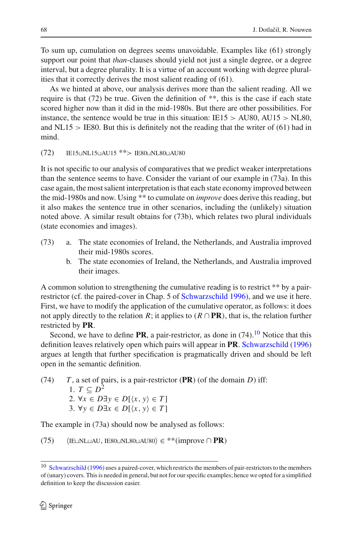To sum up, cumulation on degrees seems unavoidable. Examples like (61) strongly support our point that *than*-clauses should yield not just a single degree, or a degree interval, but a degree plurality. It is a virtue of an account working with degree pluralities that it correctly derives the most salient reading of (61).

As we hinted at above, our analysis derives more than the salient reading. All we require is that  $(72)$  be true. Given the definition of \*\*, this is the case if each state scored higher now than it did in the mid-1980s. But there are other possibilities. For instance, the sentence would be true in this situation:  $IE15 > AU80$ ,  $AU15 > NL80$ , and  $NL15 > IES0$ . But this is definitely not the reading that the writer of (61) had in mind.

 $(72)$  IE15 $\Box$ NL15 $\Box$ AU15 \*\*> IE80 $\Box$ NL80 $\Box$ AU80

It is not specific to our analysis of comparatives that we predict weaker interpretations than the sentence seems to have. Consider the variant of our example in (73a). In this case again, the most salient interpretation is that each state economy improved between the mid-1980s and now. Using \*\* to cumulate on *improve* does derive this reading, but it also makes the sentence true in other scenarios, including the (unlikely) situation noted above. A similar result obtains for (73b), which relates two plural individuals (state economies and images).

- (73) a. The state economies of Ireland, the Netherlands, and Australia improved their mid-1980s scores.
	- b. The state economies of Ireland, the Netherlands, and Australia improved their images.

A common solution to strengthening the cumulative reading is to restrict \*\* by a pair-restrictor (cf. the paired-cover in Chap. 5 of [Schwarzschild 1996](#page-33-0)), and we use it here. First, we have to modify the application of the cumulative operator, as follows: it does not apply directly to the relation *R*; it applies to  $(R \cap PR)$ , that is, the relation further restricted by **PR**.

Second, we have to define  $PR$ , a pair-restrictor, as done in  $(74)$ .<sup>[10](#page-23-0)</sup> Notice that this definition leaves relatively open which pairs will appear in **PR**. [Schwarzschild](#page-33-0) [\(1996\)](#page-33-0) argues at length that further specification is pragmatically driven and should be left open in the semantic definition.

(74) *T* , a set of pairs, is a pair-restrictor (**PR**) (of the domain *D*) iff: 1. *T* ⊂  $D^2$ 2.  $\forall x \in D \exists y \in D[\langle x, y \rangle \in T]$ 3.  $\forall y \in D \exists x \in D[\langle x, y \rangle \in T]$ 

The example in (73a) should now be analysed as follows:

 $(75)$  (IE⊔NL⊔AU, IE80⊔NL80⊔AU80 $\rangle \in$  \*\*(improve ∩ **PR**)

<span id="page-23-0"></span><sup>&</sup>lt;sup>10</sup> [Schwarzschild](#page-33-0) [\(1996\)](#page-33-0) uses a paired-cover, which restricts the members of pair-restrictors to the members of (unary) covers. This is needed in general, but not for our specific examples; hence we opted for a simplified definition to keep the discussion easier.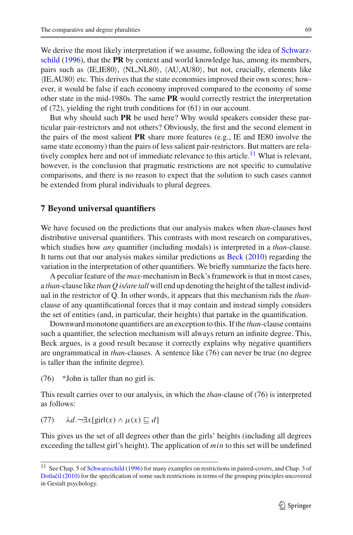We d[erive](#page-33-0) [the](#page-33-0) [most](#page-33-0) [likely](#page-33-0) [interpretation](#page-33-0) [if](#page-33-0) [we](#page-33-0) [assume,](#page-33-0) [following](#page-33-0) the [idea](#page-33-0) [of](#page-33-0) Schwarzschild [\(1996](#page-33-0)), that the **PR** by context and world knowledge has, among its members, pairs such as  $\langle$ IE,IE80 $\rangle$ ,  $\langle$ NL,NL80 $\rangle$ ,  $\langle$ AU,AU80 $\rangle$ , but not, crucially, elements like IE,AU80 etc. This derives that the state economies improved their own scores; however, it would be false if each economy improved compared to the economy of some other state in the mid-1980s. The same **PR** would correctly restrict the interpretation of (72), yielding the right truth conditions for (61) in our account.

But why should such **PR** be used here? Why would speakers consider these particular pair-restrictors and not others? Obviously, the first and the second element in the pairs of the most salient **PR** share more features (e.g., IE and IE80 involve the same state economy) than the pairs of less salient pair-restrictors. But matters are relatively complex here and not of immediate relevance to this article.<sup>11</sup> What is relevant, however, is the conclusion that pragmatic restrictions are not specific to cumulative comparisons, and there is no reason to expect that the solution to such cases cannot be extended from plural individuals to plural degrees.

#### <span id="page-24-0"></span>**7 Beyond universal quantifiers**

We have focused on the predictions that our analysis makes when *than*-clauses host distributive universal quantifiers. This contrasts with most research on comparatives, which studies how *any* quantifier (including modals) is interpreted in a *than*-clause. It turns out that our analysis makes similar predictions as [Beck](#page-31-5) [\(2010](#page-31-5)) regarding the variation in the interpretation of other quantifiers. We briefly summarize the facts here.

A peculiar feature of the *max*-mechanism in Beck's framework is that in most cases, a *than*-clause like *than Q is/are tall* will end up denoting the height of the tallest individual in the restrictor of Q. In other words, it appears that this mechanism rids the *than*clause of any quantificational forces that it may contain and instead simply considers the set of entities (and, in particular, their heights) that partake in the quantification.

Downward monotone quantifiers are an exception to this. If the *than*-clause contains such a quantifier, the selection mechanism will always return an infinite degree. This, Beck argues, is a good result because it correctly explains why negative quantifiers are ungrammatical in *than*-clauses. A sentence like (76) can never be true (no degree is taller than the infinite degree).

(76) \*John is taller than no girl is.

This result carries over to our analysis, in which the *than*-clause of (76) is interpreted as follows:

(77) λ*d*.¬∃*x*[girl(*x*) ∧ μ(*x*) *d*]

This gives us the set of all degrees other than the girls' heights (including all degrees exceeding the tallest girl's height). The application of *min* to this set will be undefined

<span id="page-24-1"></span><sup>&</sup>lt;sup>11</sup> See Chap. 5 of [Schwarzschild](#page-33-0) [\(1996](#page-33-0)) for many examples on restrictions in paired-covers, and Chap. 3 of Dotlačil [\(2010\)](#page-31-15) for the specification of some such restrictions in terms of the grouping principles uncovered in Gestalt psychology.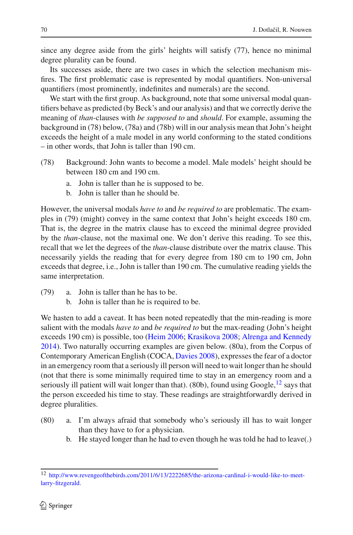since any degree aside from the girls' heights will satisfy (77), hence no minimal degree plurality can be found.

Its successes aside, there are two cases in which the selection mechanism misfires. The first problematic case is represented by modal quantifiers. Non-universal quantifiers (most prominently, indefinites and numerals) are the second.

We start with the first group. As background, note that some universal modal quantifiers behave as predicted (by Beck's and our analysis) and that we correctly derive the meaning of *than*-clauses with *be supposed to* and *should*. For example, assuming the background in (78) below, (78a) and (78b) will in our analysis mean that John's height exceeds the height of a male model in any world conforming to the stated conditions – in other words, that John is taller than 190 cm.

- (78) Background: John wants to become a model. Male models' height should be between 180 cm and 190 cm.
	- a. John is taller than he is supposed to be.
	- b. John is taller than he should be.

However, the universal modals *have to* and *be required to* are problematic. The examples in (79) (might) convey in the same context that John's height exceeds 180 cm. That is, the degree in the matrix clause has to exceed the minimal degree provided by the *than*-clause, not the maximal one. We don't derive this reading. To see this, recall that we let the degrees of the *than*-clause distribute over the matrix clause. This necessarily yields the reading that for every degree from 180 cm to 190 cm, John exceeds that degree, i.e., John is taller than 190 cm. The cumulative reading yields the same interpretation.

- (79) a. John is taller than he has to be.
	- b. John is taller than he is required to be.

We hasten to add a caveat. It has been noted repeatedly that the min-reading is more salient with the modals *have to* and *be required to* but the max-reading (John's height exceeds 190 cm) is possible, too [\(Heim 2006;](#page-32-15) [Krasikova 2008](#page-32-26); [Alrenga and Kennedy](#page-31-7) [2014\)](#page-31-7). Two naturally occurring examples are given below. (80a), from the Corpus of Contemporary American English (COCA, [Davies 2008\)](#page-31-16), expresses the fear of a doctor in an emergency room that a seriously ill person will need to wait longer than he should (not that there is some minimally required time to stay in an emergency room and a seriously ill patient will wait longer than that). (80b), found using  $Google, <sup>12</sup>$  says that the person exceeded his time to stay. These readings are straightforwardly derived in degree pluralities.

- (80) a. I'm always afraid that somebody who's seriously ill has to wait longer than they have to for a physician.
	- b. He stayed longer than he had to even though he was told he had to leave(.)

<span id="page-25-0"></span><sup>12</sup> [http://www.revengeofthebirds.com/2011/6/13/2222685/the-arizona-cardinal-i-would-like-to-meet](http://www.revengeofthebirds.com/2011/6/13/2222685/the-arizona-cardinal-i-would-like-to-meet-larry-fitzgerald)[larry-fitzgerald.](http://www.revengeofthebirds.com/2011/6/13/2222685/the-arizona-cardinal-i-would-like-to-meet-larry-fitzgerald)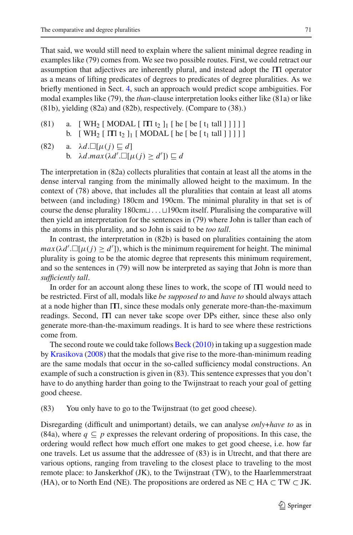That said, we would still need to explain where the salient minimal degree reading in examples like (79) comes from. We see two possible routes. First, we could retract our assumption that adjectives are inherently plural, and instead adopt the  $\Pi$  operator as a means of lifting predicates of degrees to predicates of degree pluralities. As we briefly mentioned in Sect. [4,](#page-7-0) such an approach would predict scope ambiguities. For modal examples like (79), the *than*-clause interpretation looks either like (81a) or like (81b), yielding (82a) and (82b), respectively. (Compare to (38).)

- (81) a.  $[WH_2 [MODAL [TT t_2]_1 [he [be [t_1 tall]]]]]$ b.  $\left[\begin{array}{c|c|c|c} W H_2 & \Pi & t_2 \end{array}\right]_1 \left[\begin{array}{c|c|c} MODAL & \vdots & b \end{array}\right]$  be  $\left[\begin{array}{c|c|c|c} t_1 & \text{tail} \end{array}\right]$
- (82) a.  $\lambda d. \Box[\mu(i) \Box d]$ b.  $\lambda d \cdot max(\lambda d' \cdot \Box[\mu(j) \geq d']) \sqsubseteq d$

The interpretation in (82a) collects pluralities that contain at least all the atoms in the dense interval ranging from the minimally allowed height to the maximum. In the context of (78) above, that includes all the pluralities that contain at least all atoms between (and including) 180cm and 190cm. The minimal plurality in that set is of course the dense plurality  $180 \text{cm} \sqcup ... \sqcup 190 \text{cm}$  itself. Pluralising the comparative will then yield an interpretation for the sentences in (79) where John is taller than each of the atoms in this plurality, and so John is said to be *too tall*.

In contrast, the interpretation in (82b) is based on pluralities containing the atom  $max(\lambda d' \square[\mu(j) \ge d'])$ , which is the minimum requirement for height. The minimal plurality is going to be the atomic degree that represents this minimum requirement, and so the sentences in (79) will now be interpreted as saying that John is more than *sufficiently tall*.

In order for an account along these lines to work, the scope of  $\Pi$  would need to be restricted. First of all, modals like *be supposed to* and *have to* should always attach at a node higher than  $\Pi$ , since these modals only generate more-than-the-maximum readings. Second,  $\Pi$  can never take scope over DPs either, since these also only generate more-than-the-maximum readings. It is hard to see where these restrictions come from.

The second route we could take follows [Beck](#page-31-5) [\(2010](#page-31-5)) in taking up a suggestion made by [Krasikova](#page-32-26) [\(2008\)](#page-32-26) that the modals that give rise to the more-than-minimum reading are the same modals that occur in the so-called sufficiency modal constructions. An example of such a construction is given in (83). This sentence expresses that you don't have to do anything harder than going to the Twijnstraat to reach your goal of getting good cheese.

(83) You only have to go to the Twijnstraat (to get good cheese).

Disregarding (difficult and unimportant) details, we can analyse *only*+*have to* as in (84a), where  $q \subseteq p$  expresses the relevant ordering of propositions. In this case, the ordering would reflect how much effort one makes to get good cheese, i.e. how far one travels. Let us assume that the addressee of (83) is in Utrecht, and that there are various options, ranging from traveling to the closest place to traveling to the most remote place: to Janskerkhof (JK), to the Twijnstraat (TW), to the Haarlemmerstraat (HA), or to North End (NE). The propositions are ordered as NE  $\subset$  HA  $\subset$  TW  $\subset$  JK.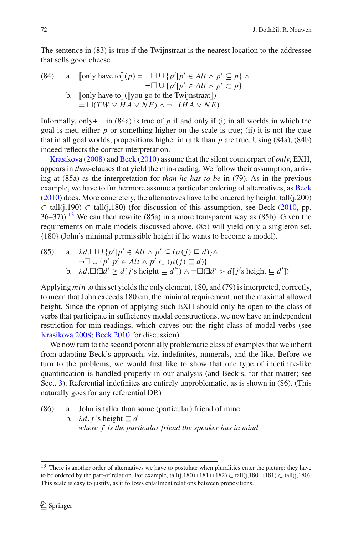The sentence in (83) is true if the Twijnstraat is the nearest location to the addressee that sells good cheese.

(84) a. [only have to]
$$
\begin{array}{ll}\n (p) = \Box \cup \{p'|p' \in Alt \land p' \subseteq p\} \land \\
\neg \Box \cup \{p'|p' \in Alt \land p' \subseteq p\} \\
\text{b. [only have to]} ([you go to the Twijnstraat]) \\
&= \Box(TW \lor HA \lor NE) \land \neg \Box(HA \lor NE)\n \end{array}
$$

Informally, only+ $\Box$  in (84a) is true of *p* if and only if (i) in all worlds in which the goal is met, either *p* or something higher on the scale is true; (ii) it is not the case that in all goal worlds, propositions higher in rank than *p* are true. Using (84a), (84b) [indeed](#page-32-26) [reflect](#page-32-26)s the correct interpretation.

Krasikova [\(2008\)](#page-32-26) and [Beck](#page-31-5) [\(2010\)](#page-31-5) assume that the silent counterpart of *only*, EXH, appears in *than*-clauses that yield the min-reading. We follow their assumption, arriving at (85a) as the interpretation for *than he has to be* in (79). As in the previous example, we have to furthermore assume a particular ordering of alternatives, as [Beck](#page-31-5) [\(2010\)](#page-31-5) does. More concretely, the alternatives have to be ordered by height: tall(j,200)  $\subset$  tall(j,190)  $\subset$  tall(j,180) (for discussion of this assumption, see Beck [\(2010](#page-31-5), pp.  $36-37)$ ).<sup>13</sup> We can then rewrite (85a) in a more transparent way as (85b). Given the requirements on male models discussed above, (85) will yield only a singleton set, {180} (John's minimal permissible height if he wants to become a model).

(85) a. 
$$
\lambda d.\Box \cup \{p'|p' \in Alt \land p' \subseteq (\mu(j) \sqsubseteq d)\} \land
$$
  
\n $\neg \Box \cup \{p'|p' \in Alt \land p' \subset (\mu(j) \sqsubseteq d)\}$   
\nb.  $\lambda d.\Box (\exists d' \ge d[j's height \sqsubseteq d']) \land \neg \Box (\exists d' > d[j's height \sqsubseteq d'])$ 

Applying *min* to this set yields the only element, 180, and (79) is interpreted, correctly, to mean that John exceeds 180 cm, the minimal requirement, not the maximal allowed height. Since the option of applying such EXH should only be open to the class of verbs that participate in sufficiency modal constructions, we now have an independent restriction for min-readings, which carves out the right class of modal verbs (see [Krasikova 2008;](#page-32-26) [Beck 2010](#page-31-5) for discussion).

We now turn to the second potentially problematic class of examples that we inherit from adapting Beck's approach, viz. indefinites, numerals, and the like. Before we turn to the problems, we would first like to show that one type of indefinite-like quantification is handled properly in our analysis (and Beck's, for that matter; see Sect. [3\)](#page-5-0). Referential indefinites are entirely unproblematic, as is shown in  $(86)$ . (This naturally goes for any referential DP.)

- (86) a. John is taller than some (particular) friend of mine.
	- b.  $\lambda d$ . *f*'s height  $\Box d$ *where f is the particular friend the speaker has in mind*

<span id="page-27-0"></span><sup>&</sup>lt;sup>13</sup> There is another order of alternatives we have to postulate when pluralities enter the picture: they have to be ordered by the part-of relation. For example, tall(j,180  $\sqcup$  181  $\sqcup$  182) ⊂ tall(j,180  $\sqcup$  181) ⊂ tall(j,180). This scale is easy to justify, as it follows entailment relations between propositions.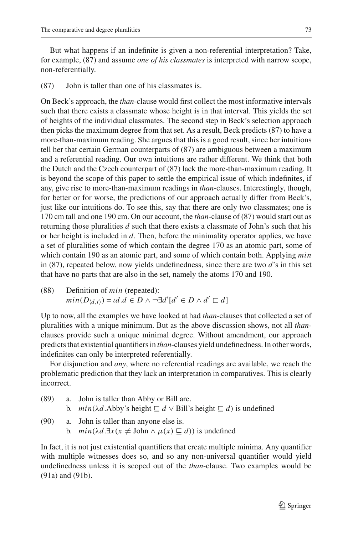But what happens if an indefinite is given a non-referential interpretation? Take, for example, (87) and assume *one of his classmates* is interpreted with narrow scope, non-referentially.

(87) John is taller than one of his classmates is.

On Beck's approach, the *than*-clause would first collect the most informative intervals such that there exists a classmate whose height is in that interval. This yields the set of heights of the individual classmates. The second step in Beck's selection approach then picks the maximum degree from that set. As a result, Beck predicts (87) to have a more-than-maximum reading. She argues that this is a good result, since her intuitions tell her that certain German counterparts of (87) are ambiguous between a maximum and a referential reading. Our own intuitions are rather different. We think that both the Dutch and the Czech counterpart of (87) lack the more-than-maximum reading. It is beyond the scope of this paper to settle the empirical issue of which indefinites, if any, give rise to more-than-maximum readings in *than*-clauses. Interestingly, though, for better or for worse, the predictions of our approach actually differ from Beck's, just like our intuitions do. To see this, say that there are only two classmates; one is 170 cm tall and one 190 cm. On our account, the *than*-clause of (87) would start out as returning those pluralities *d* such that there exists a classmate of John's such that his or her height is included in *d*. Then, before the minimality operator applies, we have a set of pluralities some of which contain the degree 170 as an atomic part, some of which contain 190 as an atomic part, and some of which contain both. Applying *min* in (87), repeated below, now yields undefinedness, since there are two *d*'s in this set that have no parts that are also in the set, namely the atoms 170 and 190.

(88) Definition of *min* (repeated):  $min(D_{\langle d,t\rangle}) = \iota d \ldotp d \in D \land \neg \exists d' [d' \in D \land d' \sqsubset d]$ 

Up to now, all the examples we have looked at had *than*-clauses that collected a set of pluralities with a unique minimum. But as the above discussion shows, not all *than*clauses provide such a unique minimal degree. Without amendment, our approach predicts that existential quantifiers in *than*-clauses yield undefinedness. In other words, indefinites can only be interpreted referentially.

For disjunction and *any*, where no referential readings are available, we reach the problematic prediction that they lack an interpretation in comparatives. This is clearly incorrect.

- (89) a. John is taller than Abby or Bill are. b. *min*(λ*d*.Abby's height  $\subseteq$  *d* ∨ Bill's height  $\subseteq$  *d*) is undefined (90) a. John is taller than anyone else is.
	- b.  $min(\lambda d.\exists x (x \neq \text{John} \land \mu(x) \sqsubseteq d))$  is undefined

In fact, it is not just existential quantifiers that create multiple minima. Any quantifier with multiple witnesses does so, and so any non-universal quantifier would yield undefinedness unless it is scoped out of the *than*-clause. Two examples would be (91a) and (91b).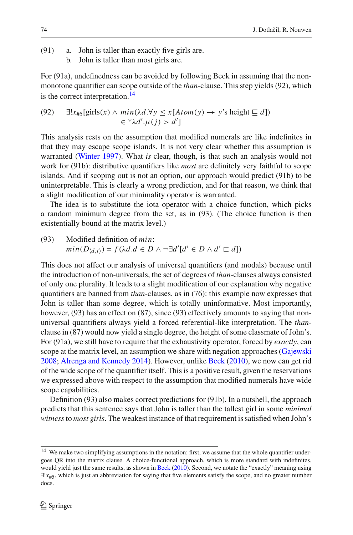- (91) a. John is taller than exactly five girls are.
	- b. John is taller than most girls are.

For (91a), undefinedness can be avoided by following Beck in assuming that the nonmonotone quantifier can scope outside of the *than*-clause. This step yields (92), which is the correct interpretation.<sup>[14](#page-29-0)</sup>

(92) 
$$
\exists! x_{\# 5}[\text{girls}(x) \land min(\lambda d.\forall y \le x[Atom(y) \rightarrow y's height \sqsubseteq d])
$$

$$
\in {^*\lambda d'.\mu(j) > d'}
$$

This analysis rests on the assumption that modified numerals are like indefinites in that they may escape scope islands. It is not very clear whether this assumption is warranted [\(Winter 1997\)](#page-33-12). What *is* clear, though, is that such an analysis would not work for (91b): distributive quantifiers like *most* are definitely very faithful to scope islands. And if scoping out is not an option, our approach would predict (91b) to be uninterpretable. This is clearly a wrong prediction, and for that reason, we think that a slight modification of our minimality operator is warranted.

The idea is to substitute the iota operator with a choice function, which picks a random minimum degree from the set, as in (93). (The choice function is then existentially bound at the matrix level.)

(93) Modified definition of *min*:  $min(D_{\langle d,t\rangle}) = f(\lambda d.d \in D \wedge \neg \exists d'[d' \in D \wedge d' \sqsubset d])$ 

This does not affect our analysis of universal quantifiers (and modals) because until the introduction of non-universals, the set of degrees of *than*-clauses always consisted of only one plurality. It leads to a slight modification of our explanation why negative quantifiers are banned from *than*-clauses, as in (76): this example now expresses that John is taller than some degree, which is totally uninformative. Most importantly, however, (93) has an effect on (87), since (93) effectively amounts to saying that nonuniversal quantifiers always yield a forced referential-like interpretation. The *than*clause in (87) would now yield a single degree, the height of some classmate of John's. For (91a), we still have to require that the exhaustivity operator, forced by *exactly*, can scope at the matrix level, an assumption we share with negation approaches [\(Gajewski](#page-32-14) [2008;](#page-32-14) [Alrenga and Kennedy 2014](#page-31-7)). However, unlike [Beck](#page-31-5) [\(2010\)](#page-31-5), we now can get rid of the wide scope of the quantifier itself. This is a positive result, given the reservations we expressed above with respect to the assumption that modified numerals have wide scope capabilities.

Definition (93) also makes correct predictions for (91b). In a nutshell, the approach predicts that this sentence says that John is taller than the tallest girl in some *minimal witness*to *most girls*. The weakest instance of that requirement is satisfied when John's

<span id="page-29-0"></span><sup>&</sup>lt;sup>14</sup> We make two simplifying assumptions in the notation: first, we assume that the whole quantifier undergoes QR into the matrix clause. A choice-functional approach, which is more standard with indefinites, would yield just the same results, as shown in [Beck](#page-31-5) [\(2010\)](#page-31-5). Second, we notate the "exactly" meaning using ∃!*x*#5, which is just an abbreviation for saying that five elements satisfy the scope, and no greater number does.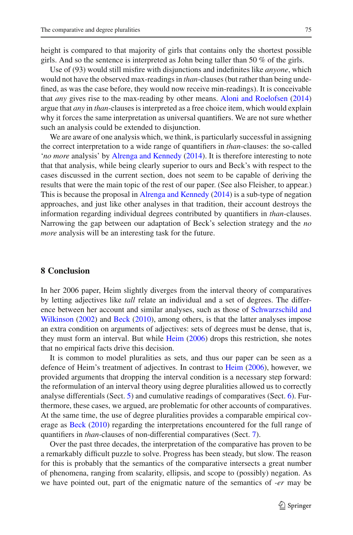height is compared to that majority of girls that contains only the shortest possible girls. And so the sentence is interpreted as John being taller than 50 % of the girls.

Use of (93) would still misfire with disjunctions and indefinites like *anyone*, which would not have the observed max-readings in *than*-clauses (but rather than being undefined, as was the case before, they would now receive min-readings). It is conceivable that *any* gives rise to the max-reading by other means. [Aloni and Roelofsen](#page-31-17) [\(2014\)](#page-31-17) argue that *any* in *than*-clauses is interpreted as a free choice item, which would explain why it forces the same interpretation as universal quantifiers. We are not sure whether such an analysis could be extended to disjunction.

We are aware of one analysis which, we think, is particularly successful in assigning the correct interpretation to a wide range of quantifiers in *than*-clauses: the so-called '*no more* analysis' by [Alrenga and Kennedy](#page-31-7) [\(2014\)](#page-31-7). It is therefore interesting to note that that analysis, while being clearly superior to ours and Beck's with respect to the cases discussed in the current section, does not seem to be capable of deriving the results that were the main topic of the rest of our paper. (See also Fleisher, to appear.) This is because the proposal in [Alrenga and Kennedy](#page-31-7) [\(2014\)](#page-31-7) is a sub-type of negation approaches, and just like other analyses in that tradition, their account destroys the information regarding individual degrees contributed by quantifiers in *than*-clauses. Narrowing the gap between our adaptation of Beck's selection strategy and the *no more* analysis will be an interesting task for the future.

#### **8 Conclusion**

In her 2006 paper, Heim slightly diverges from the interval theory of comparatives by letting adjectives like *tall* relate an individual and a set of degrees. The difference betw[een](#page-33-8) [her](#page-33-8) [account](#page-33-8) [and](#page-33-8) [similar](#page-33-8) [analyses,](#page-33-8) [such](#page-33-8) [as](#page-33-8) [those](#page-33-8) [of](#page-33-8) Schwarzschild and Wilkinson [\(2002\)](#page-33-8) and [Beck](#page-31-5) [\(2010](#page-31-5)), among others, is that the latter analyses impose an extra condition on arguments of adjectives: sets of degrees must be dense, that is, they must form an interval. But while [Heim](#page-32-15) [\(2006](#page-32-15)) drops this restriction, she notes that no empirical facts drive this decision.

It is common to model pluralities as sets, and thus our paper can be seen as a defence of Heim's treatment of adjectives. In contrast to [Heim](#page-32-15) [\(2006](#page-32-15)), however, we provided arguments that dropping the interval condition is a necessary step forward: the reformulation of an interval theory using degree pluralities allowed us to correctly analyse differentials (Sect. [5\)](#page-14-0) and cumulative readings of comparatives (Sect. [6\)](#page-17-0). Furthermore, these cases, we argued, are problematic for other accounts of comparatives. At the same time, the use of degree pluralities provides a comparable empirical coverage as [Beck](#page-31-5) [\(2010](#page-31-5)) regarding the interpretations encountered for the full range of quantifiers in *than*-clauses of non-differential comparatives (Sect. [7\)](#page-24-0).

Over the past three decades, the interpretation of the comparative has proven to be a remarkably difficult puzzle to solve. Progress has been steady, but slow. The reason for this is probably that the semantics of the comparative intersects a great number of phenomena, ranging from scalarity, ellipsis, and scope to (possibly) negation. As we have pointed out, part of the enigmatic nature of the semantics of *-er* may be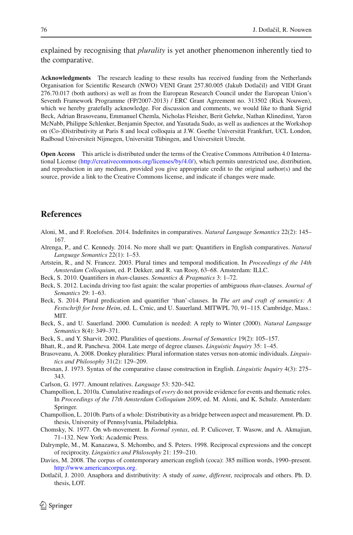explained by recognising that *plurality* is yet another phenomenon inherently tied to the comparative.

**Acknowledgments** The research leading to these results has received funding from the Netherlands Organisation for Scientific Research (NWO) VENI Grant 257.80.005 (Jakub Dotlaˇcil) and VIDI Grant 276.70.017 (both authors) as well as from the European Research Council under the European Union's Seventh Framework Programme (FP/2007-2013) / ERC Grant Agreement no. 313502 (Rick Nouwen), which we hereby gratefully acknowledge. For discussion and comments, we would like to thank Sigrid Beck, Adrian Brasoveanu, Emmanuel Chemla, Nicholas Fleisher, Berit Gehrke, Nathan Klinedinst, Yaron McNabb, Philippe Schlenker, Benjamin Spector, and Yasutada Sudo, as well as audiences at the Workshop on (Co-)Distributivity at Paris 8 and local colloquia at J.W. Goethe Universität Frankfurt, UCL London, Radboud Universiteit Nijmegen, Universität Tübingen, and Universiteit Utrecht.

**Open Access** This article is distributed under the terms of the Creative Commons Attribution 4.0 International License [\(http://creativecommons.org/licenses/by/4.0/\)](http://creativecommons.org/licenses/by/4.0/), which permits unrestricted use, distribution, and reproduction in any medium, provided you give appropriate credit to the original author(s) and the source, provide a link to the Creative Commons license, and indicate if changes were made.

## **References**

- <span id="page-31-17"></span>Aloni, M., and F. Roelofsen. 2014. Indefinites in comparatives. *Natural Language Semantics* 22(2): 145– 167.
- <span id="page-31-7"></span>Alrenga, P., and C. Kennedy. 2014. No more shall we part: Quantifiers in English comparatives. *Natural Language Semantics* 22(1): 1–53.
- <span id="page-31-1"></span>Artstein, R., and N. Francez. 2003. Plural times and temporal modification. In *Proceedings of the 14th Amsterdam Colloquium*, ed. P. Dekker, and R. van Rooy, 63–68. Amsterdam: ILLC.
- <span id="page-31-5"></span>Beck, S. 2010. Quantifiers in *than*-clauses. *Semantics & Pragmatics* 3: 1–72.
- <span id="page-31-3"></span>Beck, S. 2012. Lucinda driving too fast again: the scalar properties of ambiguous *than*-clauses. *Journal of Semantics* 29: 1–63.
- <span id="page-31-4"></span>Beck, S. 2014. Plural predication and quantifier 'than'-clauses. In *The art and craft of semantics: A Festschrift for Irene Heim*, ed. L. Crnic, and U. Sauerland. MITWPL 70, 91–115. Cambridge, Mass.: **MIT**
- <span id="page-31-13"></span>Beck, S., and U. Sauerland. 2000. Cumulation is needed: A reply to Winter (2000). *Natural Language Semantics* 8(4): 349–371.
- <span id="page-31-2"></span>Beck, S., and Y. Sharvit. 2002. Pluralities of questions. *Journal of Semantics* 19(2): 105–157.
- <span id="page-31-10"></span>Bhatt, R., and R. Pancheva. 2004. Late merge of degree clauses. *Linguistic Inquiry* 35: 1–45.
- <span id="page-31-0"></span>Brasoveanu, A. 2008. Donkey pluralities: Plural information states versus non-atomic individuals. *Linguistics and Philosophy* 31(2): 129–209.
- <span id="page-31-8"></span>Bresnan, J. 1973. Syntax of the comparative clause construction in English. *Linguistic Inquiry* 4(3): 275– 343.
- <span id="page-31-9"></span>Carlson, G. 1977. Amount relatives. *Language* 53: 520–542.
- <span id="page-31-12"></span>Champollion, L. 2010a. Cumulative readings of *every* do not provide evidence for events and thematic roles. In *Proceedings of the 17th Amsterdam Colloquium 2009*, ed. M. Aloni, and K. Schulz. Amsterdam: Springer.
- <span id="page-31-14"></span>Champollion, L. 2010b. Parts of a whole: Distributivity as a bridge between aspect and measurement. Ph. D. thesis, University of Pennsylvania, Philadelphia.
- <span id="page-31-11"></span>Chomsky, N. 1977. On wh-movement. In *Formal syntax*, ed. P. Culicover, T. Wasow, and A. Akmajian, 71–132. New York: Academic Press.
- <span id="page-31-6"></span>Dalrymple, M., M. Kanazawa, S. Mchombo, and S. Peters. 1998. Reciprocal expressions and the concept of reciprocity. *Linguistics and Philosophy* 21: 159–210.
- <span id="page-31-16"></span>Davies, M. 2008. The corpus of contemporary american english (coca): 385 million words, 1990–present. [http://www.americancorpus.org.](http://www.americancorpus.org)
- <span id="page-31-15"></span>Dotlačil, J. 2010. Anaphora and distributivity: A study of *same*, *different*, reciprocals and others. Ph. D. thesis, LOT.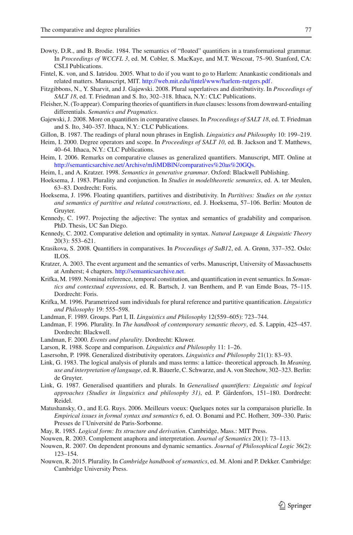- <span id="page-32-23"></span>Dowty, D.R., and B. Brodie. 1984. The semantics of "floated" quantifiers in a transformational grammar. In *Proceedings of WCCFL 3*, ed. M. Cobler, S. MacKaye, and M.T. Wescoat, 75–90. Stanford, CA: CSLI Publications.
- Fintel, K. von, and S. Iatridou. 2005. What to do if you want to go to Harlem: Anankastic conditionals and related matters. Manuscript, MIT. [http://web.mit.edu/fintel/www/harlem-rutgers.pdf.](http://web.mit.edu/fintel/www/harlem-rutgers.pdf)
- <span id="page-32-12"></span>Fitzgibbons, N., Y. Sharvit, and J. Gajewski. 2008. Plural superlatives and distributivity. In *Proceedings of SALT 18*, ed. T. Friedman and S. Ito, 302–318. Ithaca, N.Y.: CLC Publications.
- Fleisher, N. (To appear). Comparing theories of quantifiers in *than* clauses: lessons from downward-entailing differentials. *Semantics and Pragmatics*.
- <span id="page-32-14"></span>Gajewski, J. 2008. More on quantifiers in comparative clauses. In *Proceedings of SALT 18*, ed. T. Friedman and S. Ito, 340–357. Ithaca, N.Y.: CLC Publications.
- <span id="page-32-1"></span>Gillon, B. 1987. The readings of plural noun phrases in English. *Linguistics and Philosophy* 10: 199–219.
- <span id="page-32-20"></span>Heim, I. 2000. Degree operators and scope. In *Proceedings of SALT 10*, ed. B. Jackson and T. Matthews, 40–64. Ithaca, N.Y.: CLC Publications.
- <span id="page-32-15"></span>Heim, I. 2006. Remarks on comparative clauses as generalized quantifiers. Manuscript, MIT. Online at [http://semanticsarchive.net/Archive/mJiMDBlN/comparatives%20as%20GQs.](http://semanticsarchive.net/Archive/mJiMDBlN/comparatives%20as%20GQs)
- <span id="page-32-22"></span>Heim, I., and A. Kratzer. 1998. *Semantics in generative grammar*. Oxford: Blackwell Publishing.
- <span id="page-32-0"></span>Hoeksema, J. 1983. Plurality and conjunction. In *Studies in modeltheoretic semantics*, ed. A. ter Meulen, 63–83. Dordrecht: Foris.
- <span id="page-32-25"></span>Hoeksema, J. 1996. Floating quantifiers, partitives and distributivity. In *Partitives: Studies on the syntax and semantics of partitive and related constructions*, ed. J. Hoeksema, 57–106. Berlin: Mouton de Gruyter.
- <span id="page-32-18"></span>Kennedy, C. 1997. Projecting the adjective: The syntax and semantics of gradability and comparison. PhD. Thesis, UC San Diego.
- <span id="page-32-19"></span>Kennedy, C. 2002. Comparative deletion and optimality in syntax. *Natural Language & Linguistic Theory* 20(3): 553–621.
- <span id="page-32-26"></span>Krasikova, S. 2008. Quantifiers in comparatives. In *Proceedings of SuB12*, ed. A. Grønn, 337–352. Oslo: ILOS.
- <span id="page-32-7"></span>Kratzer, A. 2003. The event argument and the semantics of verbs. Manuscript, University of Massachusetts at Amherst; 4 chapters. [http://semanticsarchive.net.](http://semanticsarchive.net)
- <span id="page-32-3"></span>Krifka, M. 1989. Nominal reference, temporal constitution, and quantification in event semantics. In *Semantics and contextual expressions*, ed. R. Bartsch, J. van Benthem, and P. van Emde Boas, 75–115. Dordrecht: Foris.
- <span id="page-32-8"></span>Krifka, M. 1996. Parametrized sum individuals for plural reference and partitive quantification. *Linguistics and Philosophy* 19: 555–598.
- Landman, F. 1989. Groups. Part I, II. *Linguistics and Philosophy* 12(559–605): 723–744.
- <span id="page-32-5"></span><span id="page-32-4"></span>Landman, F. 1996. Plurality. In *The handbook of contemporary semantic theory*, ed. S. Lappin, 425–457. Dordrecht: Blackwell.
- <span id="page-32-6"></span>Landman, F. 2000. *Events and plurality*. Dordrecht: Kluwer.
- <span id="page-32-17"></span>Larson, R. 1988. Scope and comparison. *Linguistics and Philosophy* 11: 1–26.
- <span id="page-32-21"></span>Lasersohn, P. 1998. Generalized distributivity operators. *Linguistics and Philosophy* 21(1): 83–93.
- <span id="page-32-2"></span>Link, G. 1983. The logical analysis of plurals and mass terms: a lattice- theoretical approach. In *Meaning, use and interpretation of language*, ed. R. Bäuerle, C. Schwarze, and A. von Stechow, 302–323. Berlin: de Gruyter.
- <span id="page-32-24"></span>Link, G. 1987. Generalised quantifiers and plurals. In *Generalised quantifiers: Linguistic and logical approaches (Studies in linguistics and philosophy 31)*, ed. P. Gårdenfors, 151–180. Dordrecht: Reidel.
- <span id="page-32-11"></span>Matushansky, O., and E.G. Ruys. 2006. Meilleurs voeux: Quelques notes sur la comparaison plurielle. In *Empirical issues in formal syntax and semantics 6*, ed. O. Bonami and P.C. Hofherr, 309–330. Paris: Presses de l'Université de Paris-Sorbonne.
- <span id="page-32-13"></span>May, R. 1985. *Logical form: Its structure and derivation*. Cambridge, Mass.: MIT Press.
- <span id="page-32-9"></span>Nouwen, R. 2003. Complement anaphora and interpretation. *Journal of Semantics* 20(1): 73–113.
- <span id="page-32-10"></span>Nouwen, R. 2007. On dependent pronouns and dynamic semantics. *Journal of Philosophical Logic* 36(2): 123–154.
- <span id="page-32-16"></span>Nouwen, R. 2015. Plurality. In *Cambridge handbook of semantics*, ed. M. Aloni and P. Dekker. Cambridge: Cambridge University Press.